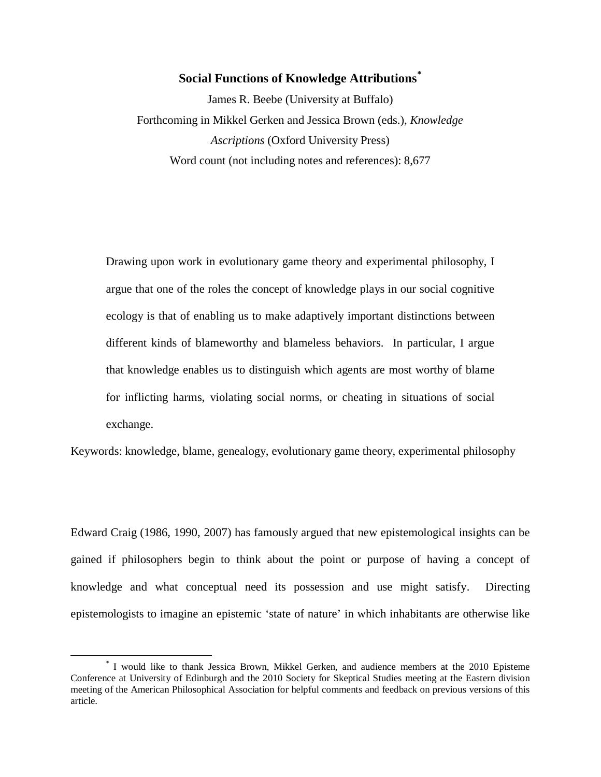## **Social Functions of Knowledge Attributions[\\*](#page-0-0)**

James R. Beebe (University at Buffalo) Forthcoming in Mikkel Gerken and Jessica Brown (eds.), *Knowledge Ascriptions* (Oxford University Press) Word count (not including notes and references): 8,677

Drawing upon work in evolutionary game theory and experimental philosophy, I argue that one of the roles the concept of knowledge plays in our social cognitive ecology is that of enabling us to make adaptively important distinctions between different kinds of blameworthy and blameless behaviors. In particular, I argue that knowledge enables us to distinguish which agents are most worthy of blame for inflicting harms, violating social norms, or cheating in situations of social exchange.

Keywords: knowledge, blame, genealogy, evolutionary game theory, experimental philosophy

Edward Craig (1986, 1990, 2007) has famously argued that new epistemological insights can be gained if philosophers begin to think about the point or purpose of having a concept of knowledge and what conceptual need its possession and use might satisfy. Directing epistemologists to imagine an epistemic 'state of nature' in which inhabitants are otherwise like

<span id="page-0-0"></span> <sup>\*</sup> I would like to thank Jessica Brown, Mikkel Gerken, and audience members at the 2010 Episteme Conference at University of Edinburgh and the 2010 Society for Skeptical Studies meeting at the Eastern division meeting of the American Philosophical Association for helpful comments and feedback on previous versions of this article.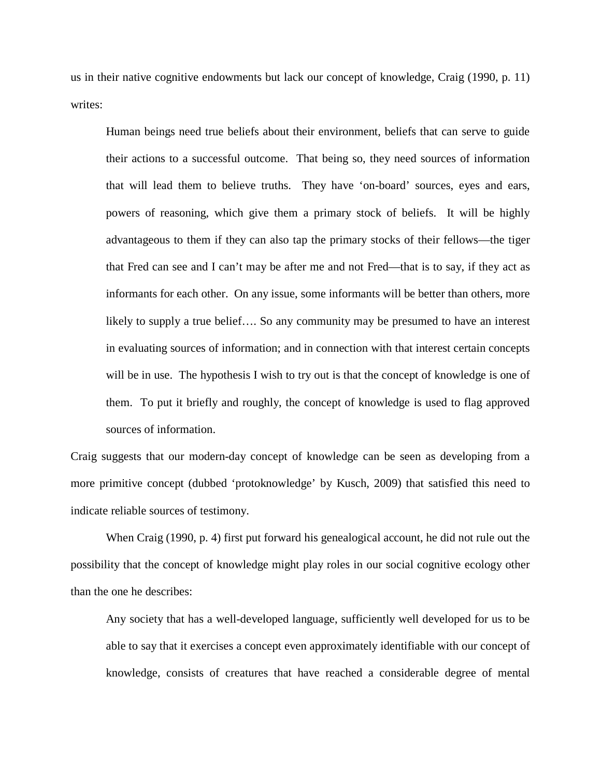us in their native cognitive endowments but lack our concept of knowledge, Craig (1990, p. 11) writes:

Human beings need true beliefs about their environment, beliefs that can serve to guide their actions to a successful outcome. That being so, they need sources of information that will lead them to believe truths. They have 'on-board' sources, eyes and ears, powers of reasoning, which give them a primary stock of beliefs. It will be highly advantageous to them if they can also tap the primary stocks of their fellows—the tiger that Fred can see and I can't may be after me and not Fred—that is to say, if they act as informants for each other. On any issue, some informants will be better than others, more likely to supply a true belief…. So any community may be presumed to have an interest in evaluating sources of information; and in connection with that interest certain concepts will be in use. The hypothesis I wish to try out is that the concept of knowledge is one of them. To put it briefly and roughly, the concept of knowledge is used to flag approved sources of information.

Craig suggests that our modern-day concept of knowledge can be seen as developing from a more primitive concept (dubbed 'protoknowledge' by Kusch, 2009) that satisfied this need to indicate reliable sources of testimony.

When Craig (1990, p. 4) first put forward his genealogical account, he did not rule out the possibility that the concept of knowledge might play roles in our social cognitive ecology other than the one he describes:

Any society that has a well-developed language, sufficiently well developed for us to be able to say that it exercises a concept even approximately identifiable with our concept of knowledge, consists of creatures that have reached a considerable degree of mental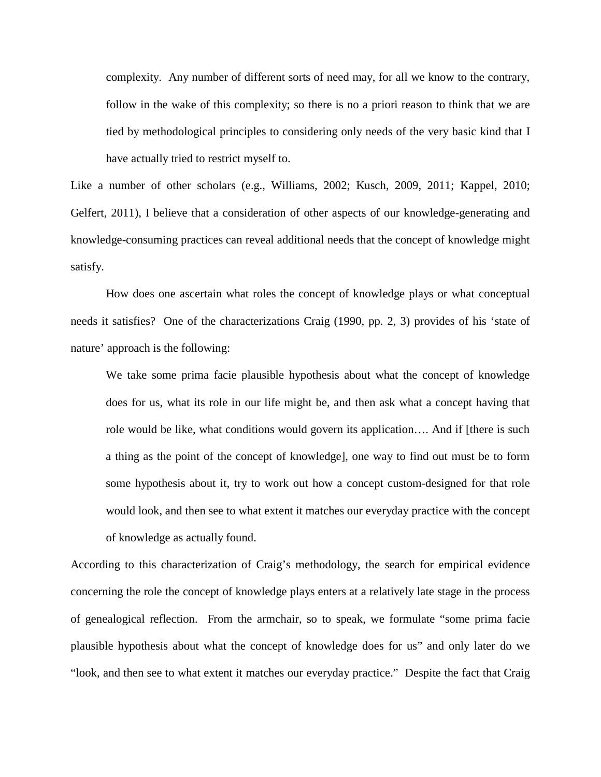complexity. Any number of different sorts of need may, for all we know to the contrary, follow in the wake of this complexity; so there is no a priori reason to think that we are tied by methodological principles to considering only needs of the very basic kind that I have actually tried to restrict myself to.

Like a number of other scholars (e.g., Williams, 2002; Kusch, 2009, 2011; Kappel, 2010; Gelfert, 2011), I believe that a consideration of other aspects of our knowledge-generating and knowledge-consuming practices can reveal additional needs that the concept of knowledge might satisfy.

How does one ascertain what roles the concept of knowledge plays or what conceptual needs it satisfies? One of the characterizations Craig (1990, pp. 2, 3) provides of his 'state of nature' approach is the following:

We take some prima facie plausible hypothesis about what the concept of knowledge does for us, what its role in our life might be, and then ask what a concept having that role would be like, what conditions would govern its application…. And if [there is such a thing as the point of the concept of knowledge], one way to find out must be to form some hypothesis about it, try to work out how a concept custom-designed for that role would look, and then see to what extent it matches our everyday practice with the concept of knowledge as actually found.

According to this characterization of Craig's methodology, the search for empirical evidence concerning the role the concept of knowledge plays enters at a relatively late stage in the process of genealogical reflection. From the armchair, so to speak, we formulate "some prima facie plausible hypothesis about what the concept of knowledge does for us" and only later do we "look, and then see to what extent it matches our everyday practice." Despite the fact that Craig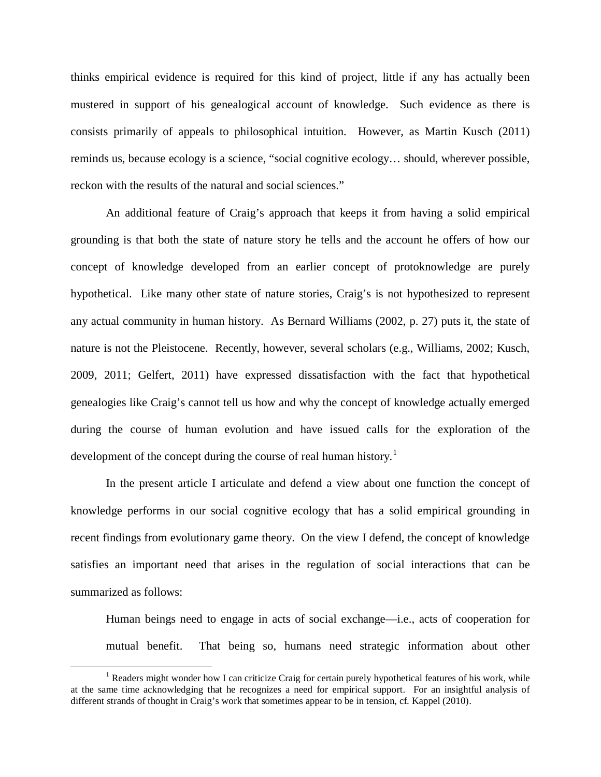thinks empirical evidence is required for this kind of project, little if any has actually been mustered in support of his genealogical account of knowledge. Such evidence as there is consists primarily of appeals to philosophical intuition. However, as Martin Kusch (2011) reminds us, because ecology is a science, "social cognitive ecology… should, wherever possible, reckon with the results of the natural and social sciences."

An additional feature of Craig's approach that keeps it from having a solid empirical grounding is that both the state of nature story he tells and the account he offers of how our concept of knowledge developed from an earlier concept of protoknowledge are purely hypothetical. Like many other state of nature stories, Craig's is not hypothesized to represent any actual community in human history. As Bernard Williams (2002, p. 27) puts it, the state of nature is not the Pleistocene. Recently, however, several scholars (e.g., Williams, 2002; Kusch, 2009, 2011; Gelfert, 2011) have expressed dissatisfaction with the fact that hypothetical genealogies like Craig's cannot tell us how and why the concept of knowledge actually emerged during the course of human evolution and have issued calls for the exploration of the development of the concept during the course of real human history.<sup>[1](#page-3-0)</sup>

In the present article I articulate and defend a view about one function the concept of knowledge performs in our social cognitive ecology that has a solid empirical grounding in recent findings from evolutionary game theory. On the view I defend, the concept of knowledge satisfies an important need that arises in the regulation of social interactions that can be summarized as follows:

Human beings need to engage in acts of social exchange—i.e., acts of cooperation for mutual benefit. That being so, humans need strategic information about other

<span id="page-3-0"></span><sup>&</sup>lt;sup>1</sup> Readers might wonder how I can criticize Craig for certain purely hypothetical features of his work, while at the same time acknowledging that he recognizes a need for empirical support. For an insightful analysis of different strands of thought in Craig's work that sometimes appear to be in tension, cf. Kappel (2010).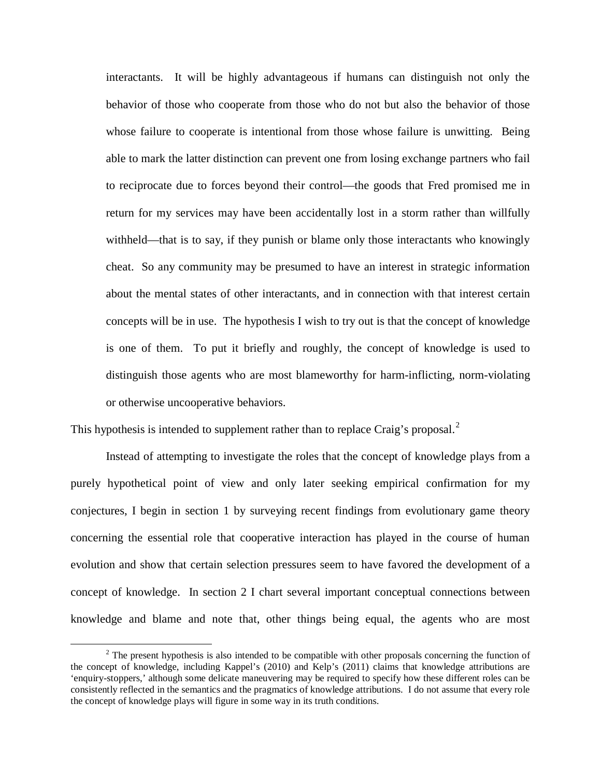interactants. It will be highly advantageous if humans can distinguish not only the behavior of those who cooperate from those who do not but also the behavior of those whose failure to cooperate is intentional from those whose failure is unwitting. Being able to mark the latter distinction can prevent one from losing exchange partners who fail to reciprocate due to forces beyond their control—the goods that Fred promised me in return for my services may have been accidentally lost in a storm rather than willfully withheld—that is to say, if they punish or blame only those interactants who knowingly cheat. So any community may be presumed to have an interest in strategic information about the mental states of other interactants, and in connection with that interest certain concepts will be in use. The hypothesis I wish to try out is that the concept of knowledge is one of them. To put it briefly and roughly, the concept of knowledge is used to distinguish those agents who are most blameworthy for harm-inflicting, norm-violating or otherwise uncooperative behaviors.

This hypothesis is intended to supplement rather than to replace Craig's proposal.<sup>[2](#page-4-0)</sup>

Instead of attempting to investigate the roles that the concept of knowledge plays from a purely hypothetical point of view and only later seeking empirical confirmation for my conjectures, I begin in section 1 by surveying recent findings from evolutionary game theory concerning the essential role that cooperative interaction has played in the course of human evolution and show that certain selection pressures seem to have favored the development of a concept of knowledge. In section 2 I chart several important conceptual connections between knowledge and blame and note that, other things being equal, the agents who are most

<span id="page-4-0"></span> $2$ . The present hypothesis is also intended to be compatible with other proposals concerning the function of the concept of knowledge, including Kappel's (2010) and Kelp's (2011) claims that knowledge attributions are 'enquiry-stoppers,' although some delicate maneuvering may be required to specify how these different roles can be consistently reflected in the semantics and the pragmatics of knowledge attributions. I do not assume that every role the concept of knowledge plays will figure in some way in its truth conditions.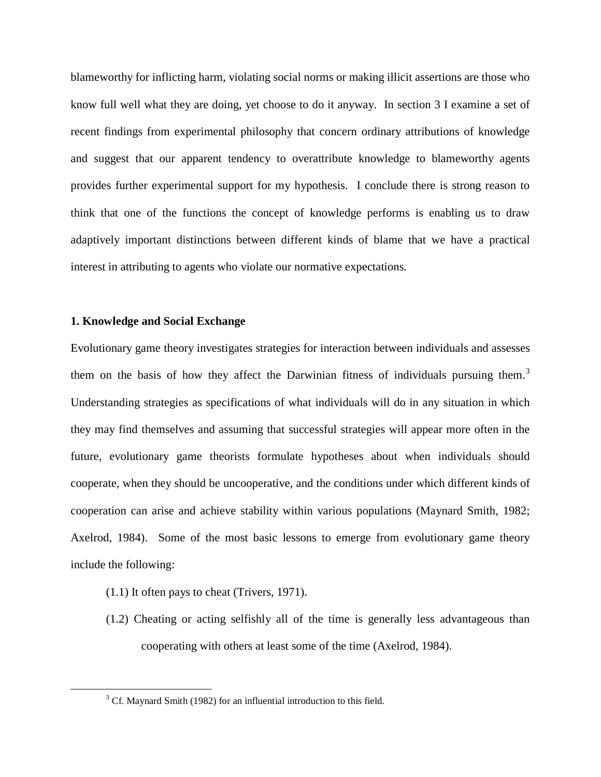blameworthy for inflicting harm, violating social norms or making illicit assertions are those who know full well what they are doing, yet choose to do it anyway. In section 3 I examine a set of recent findings from experimental philosophy that concern ordinary attributions of knowledge and suggest that our apparent tendency to overattribute knowledge to blameworthy agents provides further experimental support for my hypothesis. I conclude there is strong reason to think that one of the functions the concept of knowledge performs is enabling us to draw adaptively important distinctions between different kinds of blame that we have a practical interest in attributing to agents who violate our normative expectations.

## **1. Knowledge and Social Exchange**

Evolutionary game theory investigates strategies for interaction between individuals and assesses them on the basis of how they affect the Darwinian fitness of individuals pursuing them.<sup>[3](#page-5-0)</sup> Understanding strategies as specifications of what individuals will do in any situation in which they may find themselves and assuming that successful strategies will appear more often in the future, evolutionary game theorists formulate hypotheses about when individuals should cooperate, when they should be uncooperative, and the conditions under which different kinds of cooperation can arise and achieve stability within various populations (Maynard Smith, 1982; Axelrod, 1984). Some of the most basic lessons to emerge from evolutionary game theory include the following:

- (1.1) It often pays to cheat (Trivers, 1971).
- (1.2) Cheating or acting selfishly all of the time is generally less advantageous than cooperating with others at least some of the time (Axelrod, 1984).

<span id="page-5-0"></span><sup>&</sup>lt;sup>3</sup> Cf. Maynard Smith (1982) for an influential introduction to this field.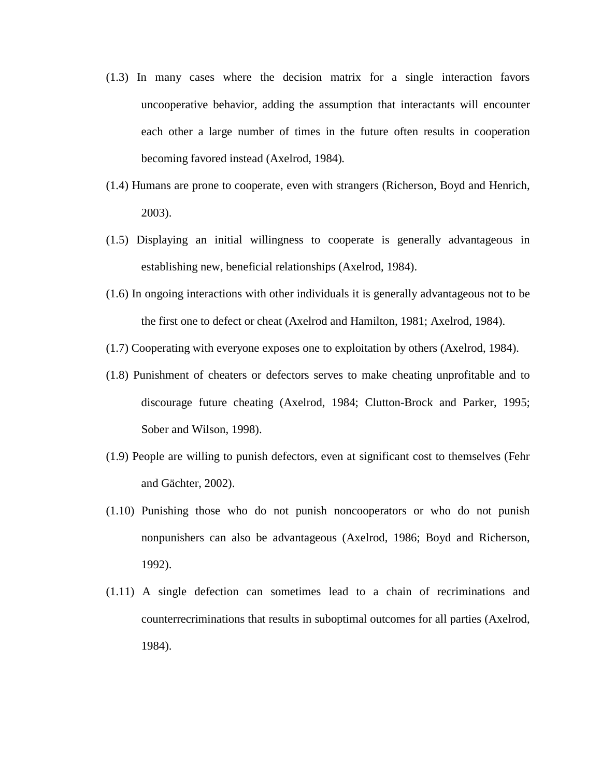- (1.3) In many cases where the decision matrix for a single interaction favors uncooperative behavior, adding the assumption that interactants will encounter each other a large number of times in the future often results in cooperation becoming favored instead (Axelrod, 1984).
- (1.4) Humans are prone to cooperate, even with strangers (Richerson, Boyd and Henrich, 2003).
- (1.5) Displaying an initial willingness to cooperate is generally advantageous in establishing new, beneficial relationships (Axelrod, 1984).
- (1.6) In ongoing interactions with other individuals it is generally advantageous not to be the first one to defect or cheat (Axelrod and Hamilton, 1981; Axelrod, 1984).
- (1.7) Cooperating with everyone exposes one to exploitation by others (Axelrod, 1984).
- (1.8) Punishment of cheaters or defectors serves to make cheating unprofitable and to discourage future cheating (Axelrod, 1984; Clutton-Brock and Parker, 1995; Sober and Wilson, 1998).
- (1.9) People are willing to punish defectors, even at significant cost to themselves (Fehr and Gächter, 2002).
- (1.10) Punishing those who do not punish noncooperators or who do not punish nonpunishers can also be advantageous (Axelrod, 1986; Boyd and Richerson, 1992).
- (1.11) A single defection can sometimes lead to a chain of recriminations and counterrecriminations that results in suboptimal outcomes for all parties (Axelrod, 1984).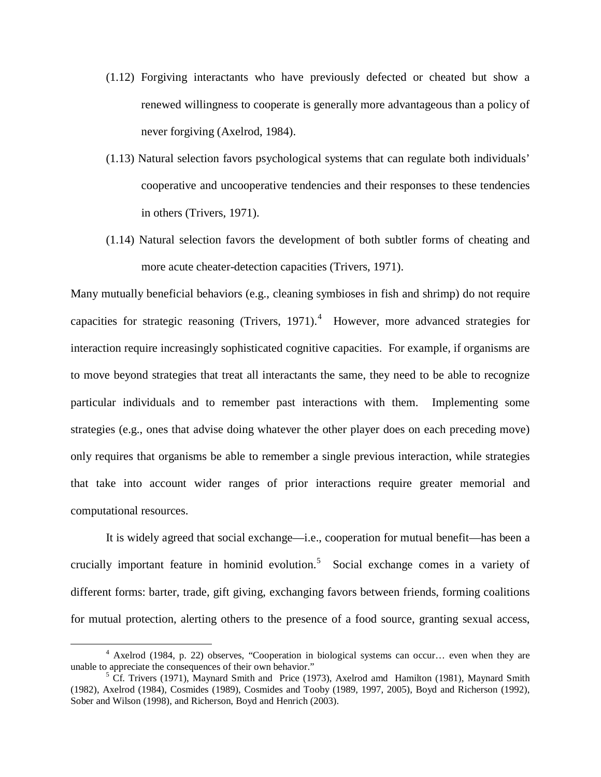- (1.12) Forgiving interactants who have previously defected or cheated but show a renewed willingness to cooperate is generally more advantageous than a policy of never forgiving (Axelrod, 1984).
- (1.13) Natural selection favors psychological systems that can regulate both individuals' cooperative and uncooperative tendencies and their responses to these tendencies in others (Trivers, 1971).
- (1.14) Natural selection favors the development of both subtler forms of cheating and more acute cheater-detection capacities (Trivers, 1971).

Many mutually beneficial behaviors (e.g., cleaning symbioses in fish and shrimp) do not require capacities for strategic reasoning (Trivers, 1971).<sup>[4](#page-7-0)</sup> However, more advanced strategies for interaction require increasingly sophisticated cognitive capacities. For example, if organisms are to move beyond strategies that treat all interactants the same, they need to be able to recognize particular individuals and to remember past interactions with them. Implementing some strategies (e.g., ones that advise doing whatever the other player does on each preceding move) only requires that organisms be able to remember a single previous interaction, while strategies that take into account wider ranges of prior interactions require greater memorial and computational resources.

It is widely agreed that social exchange—i.e., cooperation for mutual benefit—has been a crucially important feature in hominid evolution. [5](#page-7-1) Social exchange comes in a variety of different forms: barter, trade, gift giving, exchanging favors between friends, forming coalitions for mutual protection, alerting others to the presence of a food source, granting sexual access,

<span id="page-7-0"></span> <sup>4</sup> Axelrod (1984, p. 22) observes, "Cooperation in biological systems can occur… even when they are unable to appreciate the consequences of their own behavior."

<span id="page-7-1"></span> $5$  Cf. Trivers (1971), Maynard Smith and Price (1973), Axelrod amd Hamilton (1981), Maynard Smith (1982), Axelrod (1984), Cosmides (1989), Cosmides and Tooby (1989, 1997, 2005), Boyd and Richerson (1992), Sober and Wilson (1998), and Richerson, Boyd and Henrich (2003).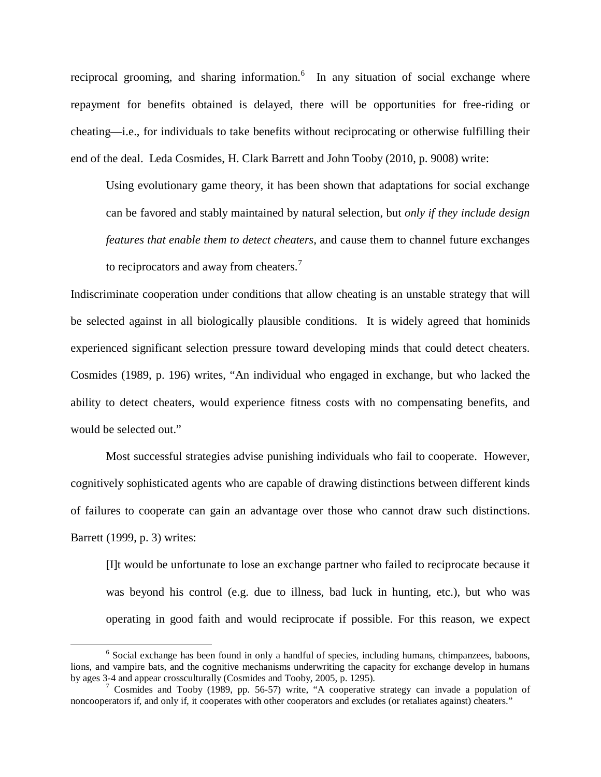reciprocal grooming, and sharing information. In any situation of social exchange where repayment for benefits obtained is delayed, there will be opportunities for free-riding or cheating—i.e., for individuals to take benefits without reciprocating or otherwise fulfilling their end of the deal. Leda Cosmides, H. Clark Barrett and John Tooby (2010, p. 9008) write:

Using evolutionary game theory, it has been shown that adaptations for social exchange can be favored and stably maintained by natural selection, but *only if they include design features that enable them to detect cheaters*, and cause them to channel future exchanges to reciprocators and away from cheaters.<sup>[7](#page-8-1)</sup>

Indiscriminate cooperation under conditions that allow cheating is an unstable strategy that will be selected against in all biologically plausible conditions. It is widely agreed that hominids experienced significant selection pressure toward developing minds that could detect cheaters. Cosmides (1989, p. 196) writes, "An individual who engaged in exchange, but who lacked the ability to detect cheaters, would experience fitness costs with no compensating benefits, and would be selected out."

Most successful strategies advise punishing individuals who fail to cooperate. However, cognitively sophisticated agents who are capable of drawing distinctions between different kinds of failures to cooperate can gain an advantage over those who cannot draw such distinctions. Barrett (1999, p. 3) writes:

[I]t would be unfortunate to lose an exchange partner who failed to reciprocate because it was beyond his control (e.g. due to illness, bad luck in hunting, etc.), but who was operating in good faith and would reciprocate if possible. For this reason, we expect

<span id="page-8-0"></span> <sup>6</sup> Social exchange has been found in only a handful of species, including humans, chimpanzees, baboons, lions, and vampire bats, and the cognitive mechanisms underwriting the capacity for exchange develop in humans by ages 3-4 and appear crossculturally (Cosmides and Tooby, 2005, p. 1295).<br><sup>7</sup> Cosmides and Tooby (1989, pp. 56-57) write, "A cooperative strategy can invade a population of

<span id="page-8-1"></span>noncooperators if, and only if, it cooperates with other cooperators and excludes (or retaliates against) cheaters."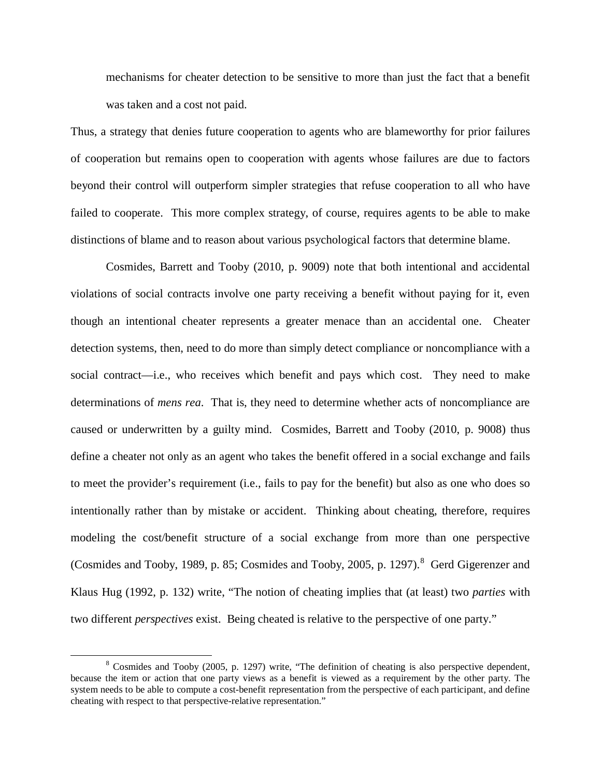mechanisms for cheater detection to be sensitive to more than just the fact that a benefit was taken and a cost not paid.

Thus, a strategy that denies future cooperation to agents who are blameworthy for prior failures of cooperation but remains open to cooperation with agents whose failures are due to factors beyond their control will outperform simpler strategies that refuse cooperation to all who have failed to cooperate. This more complex strategy, of course, requires agents to be able to make distinctions of blame and to reason about various psychological factors that determine blame.

Cosmides, Barrett and Tooby (2010, p. 9009) note that both intentional and accidental violations of social contracts involve one party receiving a benefit without paying for it, even though an intentional cheater represents a greater menace than an accidental one. Cheater detection systems, then, need to do more than simply detect compliance or noncompliance with a social contract—i.e., who receives which benefit and pays which cost. They need to make determinations of *mens rea*. That is, they need to determine whether acts of noncompliance are caused or underwritten by a guilty mind. Cosmides, Barrett and Tooby (2010, p. 9008) thus define a cheater not only as an agent who takes the benefit offered in a social exchange and fails to meet the provider's requirement (i.e., fails to pay for the benefit) but also as one who does so intentionally rather than by mistake or accident. Thinking about cheating, therefore, requires modeling the cost/benefit structure of a social exchange from more than one perspective (Cosmides and Tooby, 19[8](#page-9-0)9, p. 85; Cosmides and Tooby, 2005, p. 1297).<sup>8</sup> Gerd Gigerenzer and Klaus Hug (1992, p. 132) write, "The notion of cheating implies that (at least) two *parties* with two different *perspectives* exist. Being cheated is relative to the perspective of one party."

<span id="page-9-0"></span> <sup>8</sup> Cosmides and Tooby (2005, p. 1297) write, "The definition of cheating is also perspective dependent, because the item or action that one party views as a benefit is viewed as a requirement by the other party. The system needs to be able to compute a cost-benefit representation from the perspective of each participant, and define cheating with respect to that perspective-relative representation."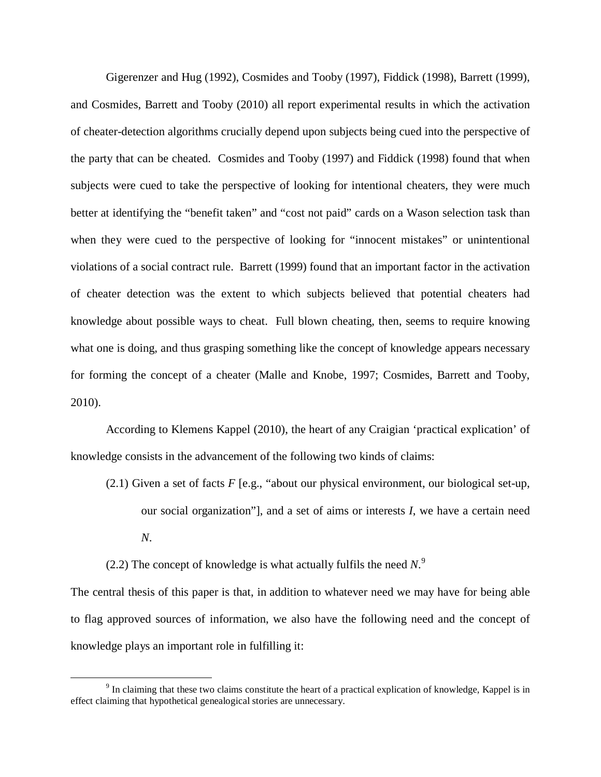Gigerenzer and Hug (1992), Cosmides and Tooby (1997), Fiddick (1998), Barrett (1999), and Cosmides, Barrett and Tooby (2010) all report experimental results in which the activation of cheater-detection algorithms crucially depend upon subjects being cued into the perspective of the party that can be cheated. Cosmides and Tooby (1997) and Fiddick (1998) found that when subjects were cued to take the perspective of looking for intentional cheaters, they were much better at identifying the "benefit taken" and "cost not paid" cards on a Wason selection task than when they were cued to the perspective of looking for "innocent mistakes" or unintentional violations of a social contract rule. Barrett (1999) found that an important factor in the activation of cheater detection was the extent to which subjects believed that potential cheaters had knowledge about possible ways to cheat. Full blown cheating, then, seems to require knowing what one is doing, and thus grasping something like the concept of knowledge appears necessary for forming the concept of a cheater (Malle and Knobe, 1997; Cosmides, Barrett and Tooby, 2010).

According to Klemens Kappel (2010), the heart of any Craigian 'practical explication' of knowledge consists in the advancement of the following two kinds of claims:

(2.1) Given a set of facts *F* [e.g., "about our physical environment, our biological set-up, our social organization"], and a set of aims or interests *I*, we have a certain need *N*.

(2.2) The concept of knowledge is what actually fulfils the need *N*. [9](#page-10-0)

The central thesis of this paper is that, in addition to whatever need we may have for being able to flag approved sources of information, we also have the following need and the concept of knowledge plays an important role in fulfilling it:

<span id="page-10-0"></span> <sup>9</sup> In claiming that these two claims constitute the heart of a practical explication of knowledge, Kappel is in effect claiming that hypothetical genealogical stories are unnecessary.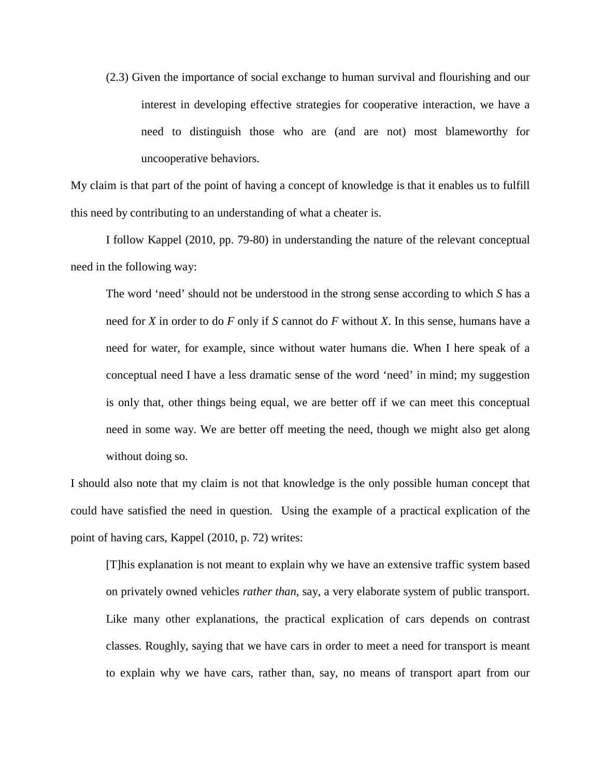(2.3) Given the importance of social exchange to human survival and flourishing and our interest in developing effective strategies for cooperative interaction, we have a need to distinguish those who are (and are not) most blameworthy for uncooperative behaviors.

My claim is that part of the point of having a concept of knowledge is that it enables us to fulfill this need by contributing to an understanding of what a cheater is.

I follow Kappel (2010, pp. 79-80) in understanding the nature of the relevant conceptual need in the following way:

The word 'need' should not be understood in the strong sense according to which *S* has a need for *X* in order to do *F* only if *S* cannot do *F* without *X*. In this sense, humans have a need for water, for example, since without water humans die. When I here speak of a conceptual need I have a less dramatic sense of the word 'need' in mind; my suggestion is only that, other things being equal, we are better off if we can meet this conceptual need in some way. We are better off meeting the need, though we might also get along without doing so.

I should also note that my claim is not that knowledge is the only possible human concept that could have satisfied the need in question. Using the example of a practical explication of the point of having cars, Kappel (2010, p. 72) writes:

[T]his explanation is not meant to explain why we have an extensive traffic system based on privately owned vehicles *rather than*, say, a very elaborate system of public transport. Like many other explanations, the practical explication of cars depends on contrast classes. Roughly, saying that we have cars in order to meet a need for transport is meant to explain why we have cars, rather than, say, no means of transport apart from our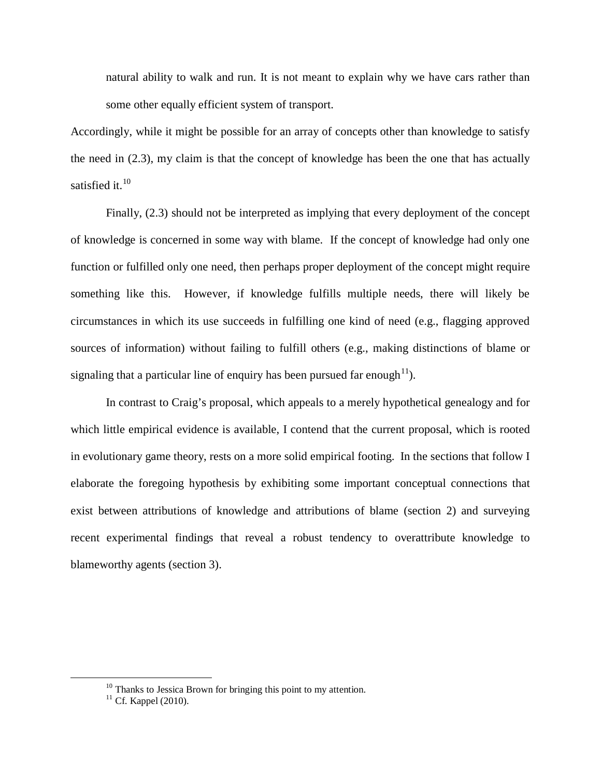natural ability to walk and run. It is not meant to explain why we have cars rather than some other equally efficient system of transport.

Accordingly, while it might be possible for an array of concepts other than knowledge to satisfy the need in (2.3), my claim is that the concept of knowledge has been the one that has actually satisfied it.<sup>[10](#page-12-0)</sup>

Finally, (2.3) should not be interpreted as implying that every deployment of the concept of knowledge is concerned in some way with blame. If the concept of knowledge had only one function or fulfilled only one need, then perhaps proper deployment of the concept might require something like this. However, if knowledge fulfills multiple needs, there will likely be circumstances in which its use succeeds in fulfilling one kind of need (e.g., flagging approved sources of information) without failing to fulfill others (e.g., making distinctions of blame or signaling that a particular line of enquiry has been pursued far enough  $11$ .

In contrast to Craig's proposal, which appeals to a merely hypothetical genealogy and for which little empirical evidence is available, I contend that the current proposal, which is rooted in evolutionary game theory, rests on a more solid empirical footing. In the sections that follow I elaborate the foregoing hypothesis by exhibiting some important conceptual connections that exist between attributions of knowledge and attributions of blame (section 2) and surveying recent experimental findings that reveal a robust tendency to overattribute knowledge to blameworthy agents (section 3).

<span id="page-12-1"></span><span id="page-12-0"></span><sup>&</sup>lt;sup>10</sup> Thanks to Jessica Brown for bringing this point to my attention.<sup>11</sup> Cf. Kappel (2010).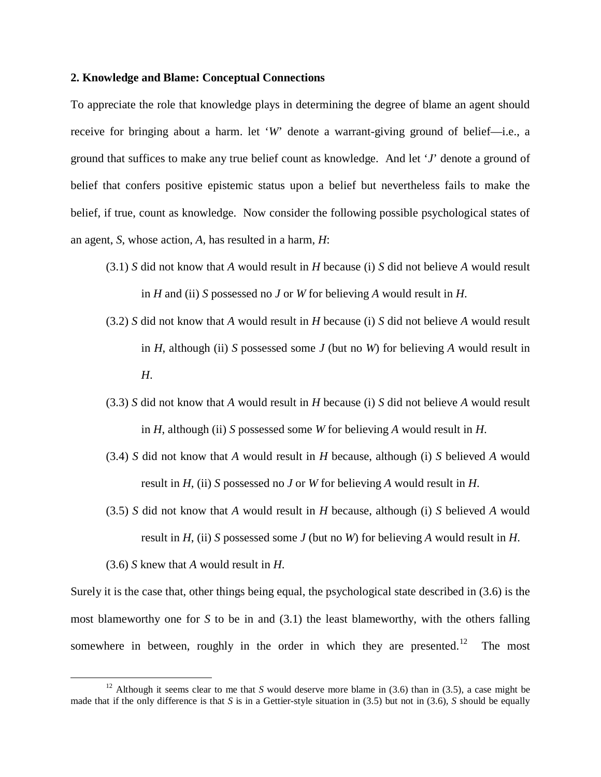## **2. Knowledge and Blame: Conceptual Connections**

To appreciate the role that knowledge plays in determining the degree of blame an agent should receive for bringing about a harm. let '*W*' denote a warrant-giving ground of belief—i.e., a ground that suffices to make any true belief count as knowledge. And let '*J*' denote a ground of belief that confers positive epistemic status upon a belief but nevertheless fails to make the belief, if true, count as knowledge. Now consider the following possible psychological states of an agent, *S*, whose action, *A*, has resulted in a harm, *H*:

- (3.1) *S* did not know that *A* would result in *H* because (i) *S* did not believe *A* would result in *H* and (ii) *S* possessed no *J* or *W* for believing *A* would result in *H*.
- (3.2) *S* did not know that *A* would result in *H* because (i) *S* did not believe *A* would result in *H*, although (ii) *S* possessed some *J* (but no *W*) for believing *A* would result in *H*.
- (3.3) *S* did not know that *A* would result in *H* because (i) *S* did not believe *A* would result in *H*, although (ii) *S* possessed some *W* for believing *A* would result in *H*.
- (3.4) *S* did not know that *A* would result in *H* because, although (i) *S* believed *A* would result in *H*, (ii) *S* possessed no *J* or *W* for believing *A* would result in *H*.
- (3.5) *S* did not know that *A* would result in *H* because, although (i) *S* believed *A* would result in *H*, (ii) *S* possessed some *J* (but no *W*) for believing *A* would result in *H*.

(3.6) *S* knew that *A* would result in *H*.

Surely it is the case that, other things being equal, the psychological state described in (3.6) is the most blameworthy one for *S* to be in and  $(3.1)$  the least blameworthy, with the others falling somewhere in between, roughly in the order in which they are presented.<sup>[12](#page-13-0)</sup> The most

<span id="page-13-0"></span><sup>&</sup>lt;sup>12</sup> Although it seems clear to me that *S* would deserve more blame in (3.6) than in (3.5), a case might be made that if the only difference is that *S* is in a Gettier-style situation in (3.5) but not in (3.6), *S* should be equally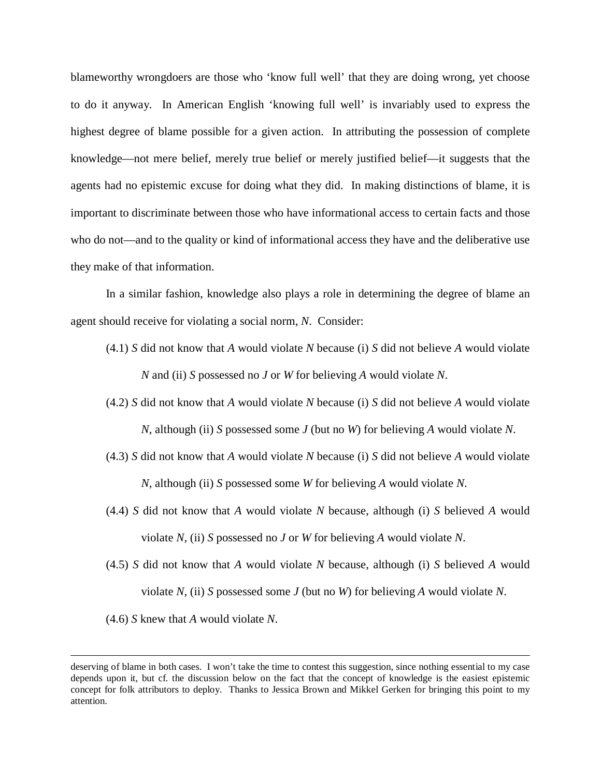blameworthy wrongdoers are those who 'know full well' that they are doing wrong, yet choose to do it anyway. In American English 'knowing full well' is invariably used to express the highest degree of blame possible for a given action. In attributing the possession of complete knowledge—not mere belief, merely true belief or merely justified belief—it suggests that the agents had no epistemic excuse for doing what they did. In making distinctions of blame, it is important to discriminate between those who have informational access to certain facts and those who do not—and to the quality or kind of informational access they have and the deliberative use they make of that information.

In a similar fashion, knowledge also plays a role in determining the degree of blame an agent should receive for violating a social norm, *N*. Consider:

- (4.1) *S* did not know that *A* would violate *N* because (i) *S* did not believe *A* would violate *N* and (ii) *S* possessed no *J* or *W* for believing *A* would violate *N*.
- (4.2) *S* did not know that *A* would violate *N* because (i) *S* did not believe *A* would violate *N*, although (ii) *S* possessed some *J* (but no *W*) for believing *A* would violate *N*.
- (4.3) *S* did not know that *A* would violate *N* because (i) *S* did not believe *A* would violate *N*, although (ii) *S* possessed some *W* for believing *A* would violate *N*.
- (4.4) *S* did not know that *A* would violate *N* because, although (i) *S* believed *A* would violate *N*, (ii) *S* possessed no *J* or *W* for believing *A* would violate *N*.
- (4.5) *S* did not know that *A* would violate *N* because, although (i) *S* believed *A* would violate *N*, (ii) *S* possessed some *J* (but no *W*) for believing *A* would violate *N*.

(4.6) *S* knew that *A* would violate *N*.

deserving of blame in both cases. I won't take the time to contest this suggestion, since nothing essential to my case depends upon it, but cf. the discussion below on the fact that the concept of knowledge is the easiest epistemic concept for folk attributors to deploy. Thanks to Jessica Brown and Mikkel Gerken for bringing this point to my attention.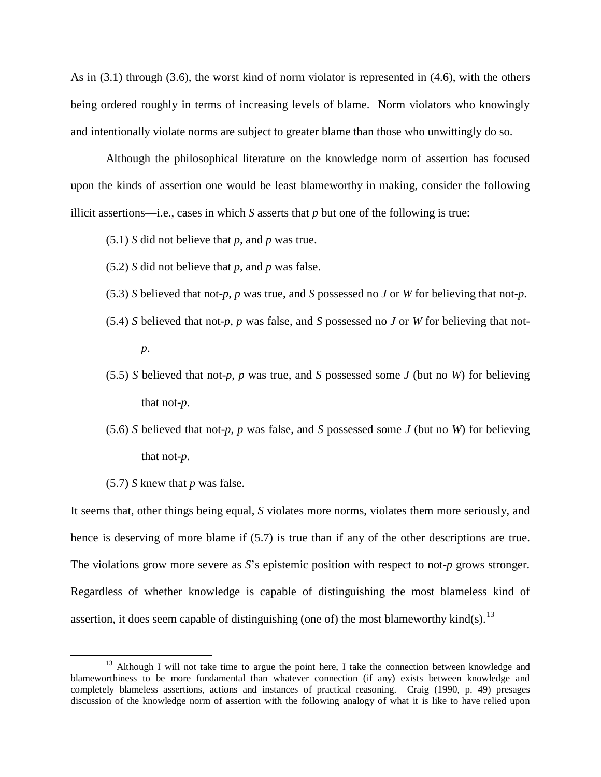As in (3.1) through (3.6), the worst kind of norm violator is represented in (4.6), with the others being ordered roughly in terms of increasing levels of blame. Norm violators who knowingly and intentionally violate norms are subject to greater blame than those who unwittingly do so.

Although the philosophical literature on the knowledge norm of assertion has focused upon the kinds of assertion one would be least blameworthy in making, consider the following illicit assertions—i.e., cases in which *S* asserts that *p* but one of the following is true:

(5.1) *S* did not believe that *p*, and *p* was true.

- (5.2) *S* did not believe that  $p$ , and  $p$  was false.
- (5.3) *S* believed that not-*p*, *p* was true, and *S* possessed no *J* or *W* for believing that not-*p*.
- (5.4) *S* believed that not-*p*, *p* was false, and *S* possessed no *J* or *W* for believing that not*p*.
- (5.5) *S* believed that not-*p*, *p* was true, and *S* possessed some *J* (but no *W*) for believing that not-*p*.
- (5.6) *S* believed that not-*p*, *p* was false, and *S* possessed some *J* (but no *W*) for believing that not-*p*.
- (5.7) *S* knew that *p* was false.

It seems that, other things being equal, *S* violates more norms, violates them more seriously, and hence is deserving of more blame if  $(5.7)$  is true than if any of the other descriptions are true. The violations grow more severe as *S*'s epistemic position with respect to not-*p* grows stronger. Regardless of whether knowledge is capable of distinguishing the most blameless kind of assertion, it does seem capable of distinguishing (one of) the most blameworthy kind(s).<sup>[13](#page-15-0)</sup>

<span id="page-15-0"></span><sup>&</sup>lt;sup>13</sup> Although I will not take time to argue the point here, I take the connection between knowledge and blameworthiness to be more fundamental than whatever connection (if any) exists between knowledge and completely blameless assertions, actions and instances of practical reasoning. Craig (1990, p. 49) presages discussion of the knowledge norm of assertion with the following analogy of what it is like to have relied upon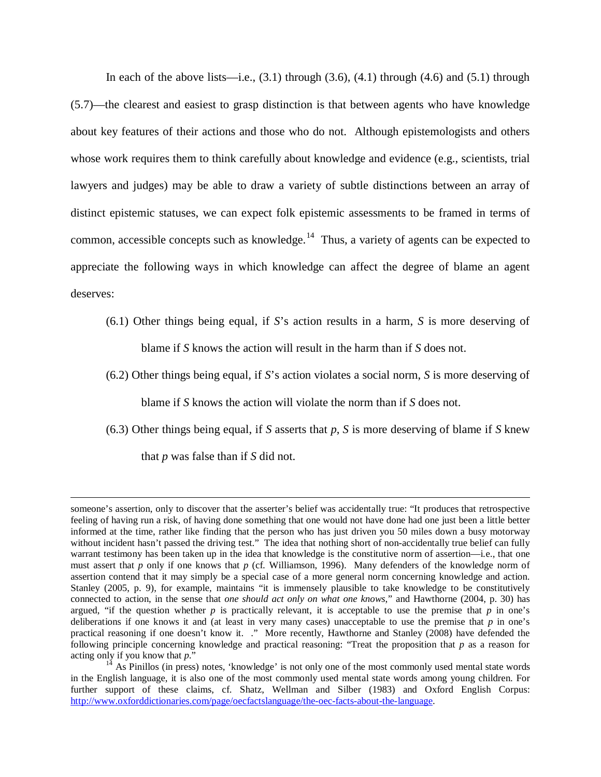In each of the above lists—i.e.,  $(3.1)$  through  $(3.6)$ ,  $(4.1)$  through  $(4.6)$  and  $(5.1)$  through (5.7)—the clearest and easiest to grasp distinction is that between agents who have knowledge about key features of their actions and those who do not. Although epistemologists and others whose work requires them to think carefully about knowledge and evidence (e.g., scientists, trial lawyers and judges) may be able to draw a variety of subtle distinctions between an array of distinct epistemic statuses, we can expect folk epistemic assessments to be framed in terms of common, accessible concepts such as knowledge. $14$  Thus, a variety of agents can be expected to appreciate the following ways in which knowledge can affect the degree of blame an agent deserves:

- (6.1) Other things being equal, if *S*'s action results in a harm, *S* is more deserving of blame if *S* knows the action will result in the harm than if *S* does not.
- (6.2) Other things being equal, if *S*'s action violates a social norm, *S* is more deserving of

blame if *S* knows the action will violate the norm than if *S* does not.

(6.3) Other things being equal, if *S* asserts that *p*, *S* is more deserving of blame if *S* knew that *p* was false than if *S* did not.

 $\overline{a}$ 

someone's assertion, only to discover that the asserter's belief was accidentally true: "It produces that retrospective feeling of having run a risk, of having done something that one would not have done had one just been a little better informed at the time, rather like finding that the person who has just driven you 50 miles down a busy motorway without incident hasn't passed the driving test." The idea that nothing short of non-accidentally true belief can fully warrant testimony has been taken up in the idea that knowledge is the constitutive norm of assertion—i.e., that one must assert that *p* only if one knows that *p* (cf. Williamson, 1996). Many defenders of the knowledge norm of assertion contend that it may simply be a special case of a more general norm concerning knowledge and action. Stanley (2005, p. 9), for example, maintains "it is immensely plausible to take knowledge to be constitutively connected to action, in the sense that *one should act only on what one knows*," and Hawthorne (2004, p. 30) has argued, "if the question whether  $p$  is practically relevant, it is acceptable to use the premise that  $p$  in one's deliberations if one knows it and (at least in very many cases) unacceptable to use the premise that *p* in one's practical reasoning if one doesn't know it. ." More recently, Hawthorne and Stanley (2008) have defended the following principle concerning knowledge and practical reasoning: "Treat the proposition that  $p$  as a reason for acting only if you know that  $p$ ."

<span id="page-16-0"></span><sup>&</sup>lt;sup>14</sup> As Pinillos (in press) notes, 'knowledge' is not only one of the most commonly used mental state words in the English language, it is also one of the most commonly used mental state words among young children. For further support of these claims, cf. Shatz, Wellman and Silber (1983) and Oxford English Corpus: [http://www.oxforddictionaries.com/page/oecfactslanguage/the-oec-facts-about-the-language.](http://www.oxforddictionaries.com/page/oecfactslanguage/the-oec-facts-about-the-language)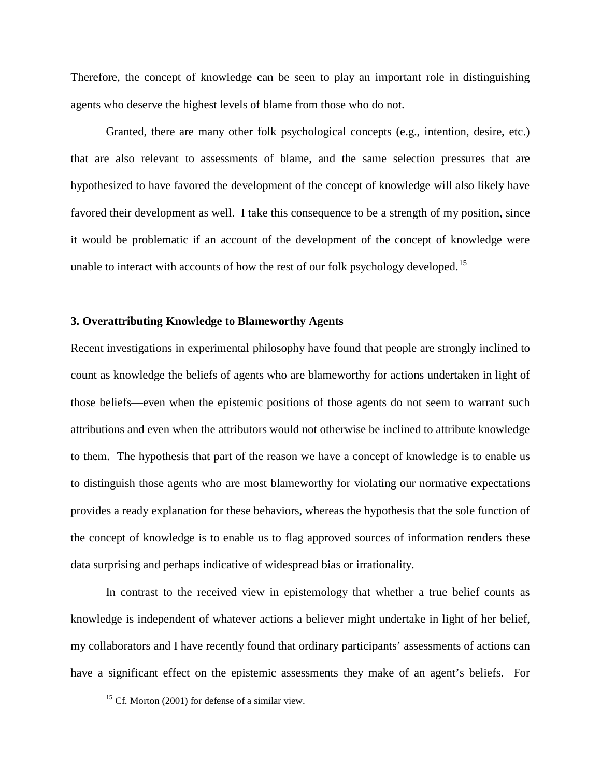Therefore, the concept of knowledge can be seen to play an important role in distinguishing agents who deserve the highest levels of blame from those who do not.

Granted, there are many other folk psychological concepts (e.g., intention, desire, etc.) that are also relevant to assessments of blame, and the same selection pressures that are hypothesized to have favored the development of the concept of knowledge will also likely have favored their development as well. I take this consequence to be a strength of my position, since it would be problematic if an account of the development of the concept of knowledge were unable to interact with accounts of how the rest of our folk psychology developed.<sup>15</sup>

## **3. Overattributing Knowledge to Blameworthy Agents**

Recent investigations in experimental philosophy have found that people are strongly inclined to count as knowledge the beliefs of agents who are blameworthy for actions undertaken in light of those beliefs—even when the epistemic positions of those agents do not seem to warrant such attributions and even when the attributors would not otherwise be inclined to attribute knowledge to them. The hypothesis that part of the reason we have a concept of knowledge is to enable us to distinguish those agents who are most blameworthy for violating our normative expectations provides a ready explanation for these behaviors, whereas the hypothesis that the sole function of the concept of knowledge is to enable us to flag approved sources of information renders these data surprising and perhaps indicative of widespread bias or irrationality.

In contrast to the received view in epistemology that whether a true belief counts as knowledge is independent of whatever actions a believer might undertake in light of her belief, my collaborators and I have recently found that ordinary participants' assessments of actions can have a significant effect on the epistemic assessments they make of an agent's beliefs. For

<span id="page-17-0"></span> $15$  Cf. Morton (2001) for defense of a similar view.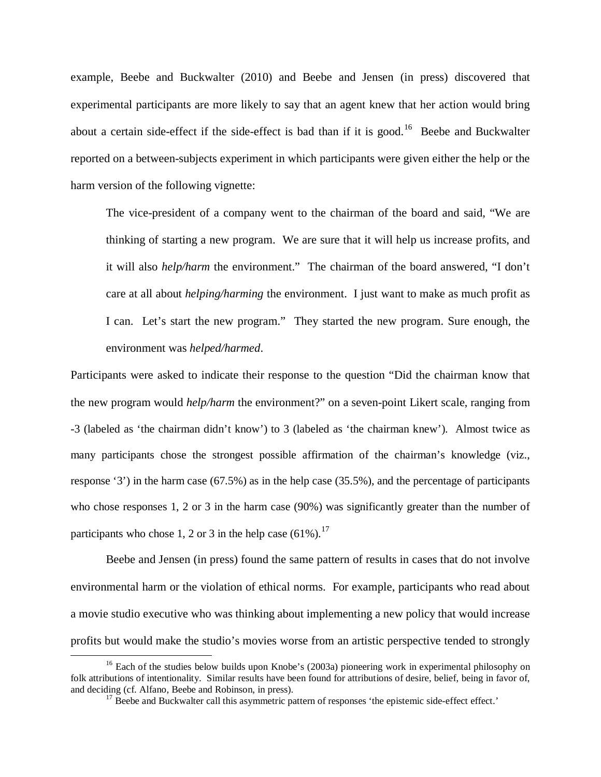example, Beebe and Buckwalter (2010) and Beebe and Jensen (in press) discovered that experimental participants are more likely to say that an agent knew that her action would bring about a certain side-effect if the side-effect is bad than if it is good.<sup>[16](#page-18-0)</sup> Beebe and Buckwalter reported on a between-subjects experiment in which participants were given either the help or the harm version of the following vignette:

The vice-president of a company went to the chairman of the board and said, "We are thinking of starting a new program. We are sure that it will help us increase profits, and it will also *help/harm* the environment." The chairman of the board answered, "I don't care at all about *helping/harming* the environment. I just want to make as much profit as I can. Let's start the new program." They started the new program. Sure enough, the environment was *helped/harmed*.

Participants were asked to indicate their response to the question "Did the chairman know that the new program would *help/harm* the environment?" on a seven-point Likert scale, ranging from -3 (labeled as 'the chairman didn't know') to 3 (labeled as 'the chairman knew'). Almost twice as many participants chose the strongest possible affirmation of the chairman's knowledge (viz., response '3') in the harm case (67.5%) as in the help case (35.5%), and the percentage of participants who chose responses 1, 2 or 3 in the harm case (90%) was significantly greater than the number of participants who chose 1, 2 or 3 in the help case  $(61\%)$ .<sup>[17](#page-18-1)</sup>

Beebe and Jensen (in press) found the same pattern of results in cases that do not involve environmental harm or the violation of ethical norms. For example, participants who read about a movie studio executive who was thinking about implementing a new policy that would increase profits but would make the studio's movies worse from an artistic perspective tended to strongly

<span id="page-18-1"></span><span id="page-18-0"></span> $16$  Each of the studies below builds upon Knobe's (2003a) pioneering work in experimental philosophy on folk attributions of intentionality. Similar results have been found for attributions of desire, belief, being in favor of, and deciding (cf. Alfano, Beebe and Robinson, in press).

 $17$  Beebe and Buckwalter call this asymmetric pattern of responses 'the epistemic side-effect effect.'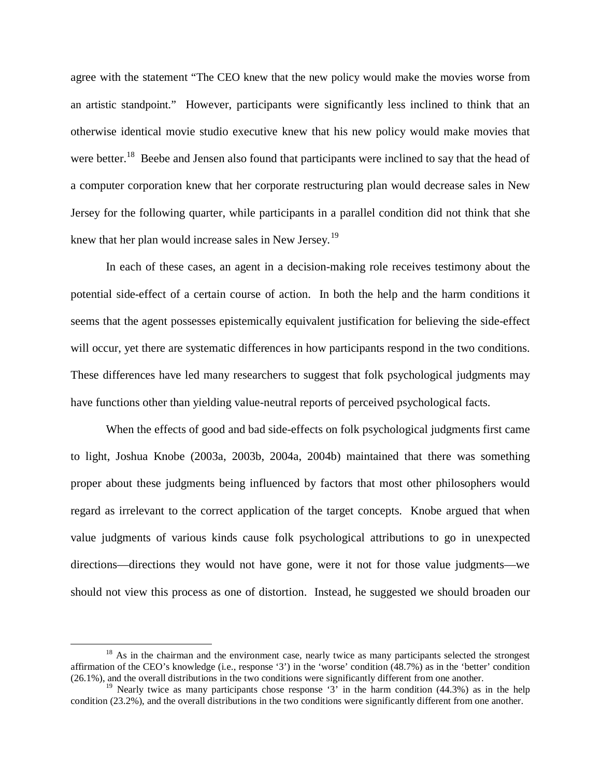agree with the statement "The CEO knew that the new policy would make the movies worse from an artistic standpoint." However, participants were significantly less inclined to think that an otherwise identical movie studio executive knew that his new policy would make movies that were better.<sup>[18](#page-19-0)</sup> Beebe and Jensen also found that participants were inclined to say that the head of a computer corporation knew that her corporate restructuring plan would decrease sales in New Jersey for the following quarter, while participants in a parallel condition did not think that she knew that her plan would increase sales in New Jersey.<sup>[19](#page-19-1)</sup>

In each of these cases, an agent in a decision-making role receives testimony about the potential side-effect of a certain course of action. In both the help and the harm conditions it seems that the agent possesses epistemically equivalent justification for believing the side-effect will occur, yet there are systematic differences in how participants respond in the two conditions. These differences have led many researchers to suggest that folk psychological judgments may have functions other than yielding value-neutral reports of perceived psychological facts.

When the effects of good and bad side-effects on folk psychological judgments first came to light, Joshua Knobe (2003a, 2003b, 2004a, 2004b) maintained that there was something proper about these judgments being influenced by factors that most other philosophers would regard as irrelevant to the correct application of the target concepts. Knobe argued that when value judgments of various kinds cause folk psychological attributions to go in unexpected directions—directions they would not have gone, were it not for those value judgments—we should not view this process as one of distortion. Instead, he suggested we should broaden our

<span id="page-19-0"></span> $18$  As in the chairman and the environment case, nearly twice as many participants selected the strongest affirmation of the CEO's knowledge (i.e., response '3') in the 'worse' condition  $(48.7%)$  as in the 'better' condition  $(26.1%)$ , and the overall distributions in the two conditions were significantly different from one an

<span id="page-19-1"></span><sup>&</sup>lt;sup>19</sup> Nearly twice as many participants chose response '3' in the harm condition (44.3%) as in the help condition (23.2%), and the overall distributions in the two conditions were significantly different from one another.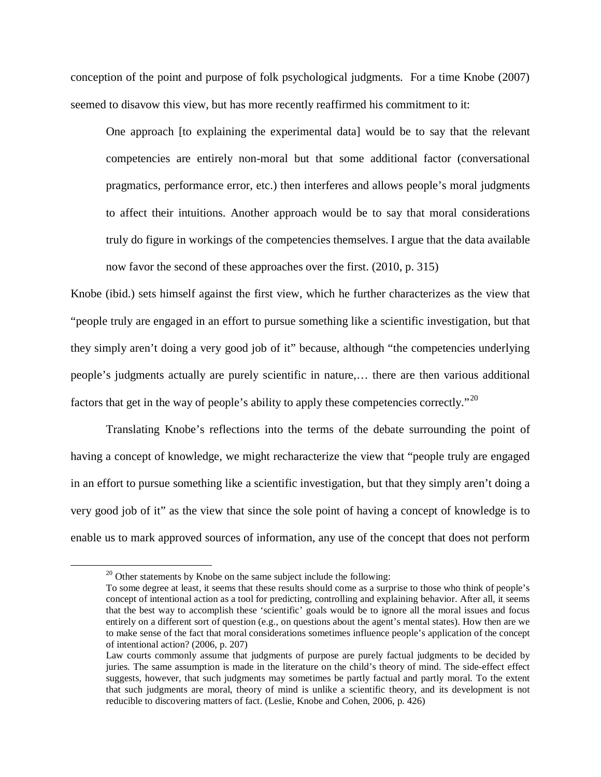conception of the point and purpose of folk psychological judgments. For a time Knobe (2007) seemed to disavow this view, but has more recently reaffirmed his commitment to it:

One approach [to explaining the experimental data] would be to say that the relevant competencies are entirely non-moral but that some additional factor (conversational pragmatics, performance error, etc.) then interferes and allows people's moral judgments to affect their intuitions. Another approach would be to say that moral considerations truly do figure in workings of the competencies themselves. I argue that the data available now favor the second of these approaches over the first. (2010, p. 315)

Knobe (ibid.) sets himself against the first view, which he further characterizes as the view that "people truly are engaged in an effort to pursue something like a scientific investigation, but that they simply aren't doing a very good job of it" because, although "the competencies underlying people's judgments actually are purely scientific in nature,… there are then various additional factors that get in the way of people's ability to apply these competencies correctly."<sup>[20](#page-20-0)</sup>

Translating Knobe's reflections into the terms of the debate surrounding the point of having a concept of knowledge, we might recharacterize the view that "people truly are engaged in an effort to pursue something like a scientific investigation, but that they simply aren't doing a very good job of it" as the view that since the sole point of having a concept of knowledge is to enable us to mark approved sources of information, any use of the concept that does not perform

 $20$  Other statements by Knobe on the same subject include the following:

<span id="page-20-0"></span>To some degree at least, it seems that these results should come as a surprise to those who think of people's concept of intentional action as a tool for predicting, controlling and explaining behavior. After all, it seems that the best way to accomplish these 'scientific' goals would be to ignore all the moral issues and focus entirely on a different sort of question (e.g., on questions about the agent's mental states). How then are we to make sense of the fact that moral considerations sometimes influence people's application of the concept of intentional action? (2006, p. 207)

Law courts commonly assume that judgments of purpose are purely factual judgments to be decided by juries. The same assumption is made in the literature on the child's theory of mind. The side-effect effect suggests, however, that such judgments may sometimes be partly factual and partly moral. To the extent that such judgments are moral, theory of mind is unlike a scientific theory, and its development is not reducible to discovering matters of fact. (Leslie, Knobe and Cohen, 2006, p. 426)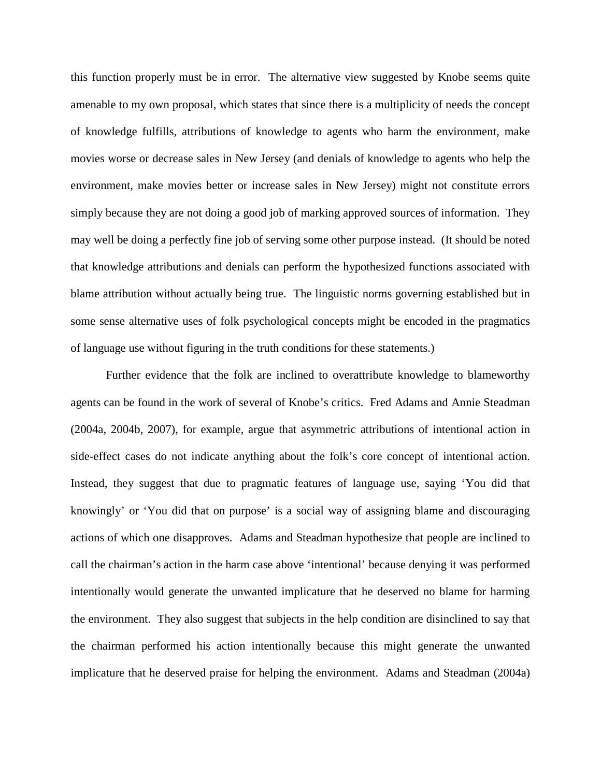this function properly must be in error. The alternative view suggested by Knobe seems quite amenable to my own proposal, which states that since there is a multiplicity of needs the concept of knowledge fulfills, attributions of knowledge to agents who harm the environment, make movies worse or decrease sales in New Jersey (and denials of knowledge to agents who help the environment, make movies better or increase sales in New Jersey) might not constitute errors simply because they are not doing a good job of marking approved sources of information. They may well be doing a perfectly fine job of serving some other purpose instead. (It should be noted that knowledge attributions and denials can perform the hypothesized functions associated with blame attribution without actually being true. The linguistic norms governing established but in some sense alternative uses of folk psychological concepts might be encoded in the pragmatics of language use without figuring in the truth conditions for these statements.)

Further evidence that the folk are inclined to overattribute knowledge to blameworthy agents can be found in the work of several of Knobe's critics. Fred Adams and Annie Steadman (2004a, 2004b, 2007), for example, argue that asymmetric attributions of intentional action in side-effect cases do not indicate anything about the folk's core concept of intentional action. Instead, they suggest that due to pragmatic features of language use, saying 'You did that knowingly' or 'You did that on purpose' is a social way of assigning blame and discouraging actions of which one disapproves. Adams and Steadman hypothesize that people are inclined to call the chairman's action in the harm case above 'intentional' because denying it was performed intentionally would generate the unwanted implicature that he deserved no blame for harming the environment. They also suggest that subjects in the help condition are disinclined to say that the chairman performed his action intentionally because this might generate the unwanted implicature that he deserved praise for helping the environment. Adams and Steadman (2004a)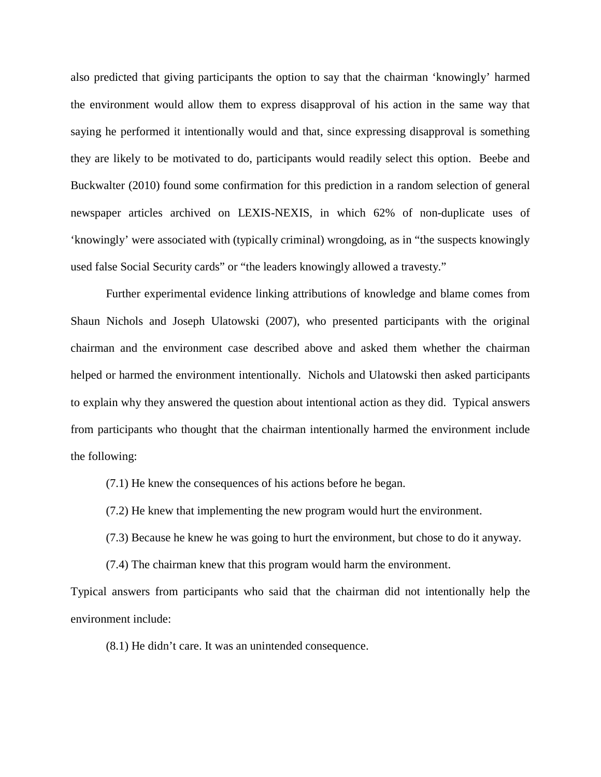also predicted that giving participants the option to say that the chairman 'knowingly' harmed the environment would allow them to express disapproval of his action in the same way that saying he performed it intentionally would and that, since expressing disapproval is something they are likely to be motivated to do, participants would readily select this option. Beebe and Buckwalter (2010) found some confirmation for this prediction in a random selection of general newspaper articles archived on LEXIS-NEXIS, in which 62% of non-duplicate uses of 'knowingly' were associated with (typically criminal) wrongdoing, as in "the suspects knowingly used false Social Security cards" or "the leaders knowingly allowed a travesty."

Further experimental evidence linking attributions of knowledge and blame comes from Shaun Nichols and Joseph Ulatowski (2007), who presented participants with the original chairman and the environment case described above and asked them whether the chairman helped or harmed the environment intentionally. Nichols and Ulatowski then asked participants to explain why they answered the question about intentional action as they did. Typical answers from participants who thought that the chairman intentionally harmed the environment include the following:

(7.1) He knew the consequences of his actions before he began.

(7.2) He knew that implementing the new program would hurt the environment.

(7.3) Because he knew he was going to hurt the environment, but chose to do it anyway.

(7.4) The chairman knew that this program would harm the environment.

Typical answers from participants who said that the chairman did not intentionally help the environment include:

(8.1) He didn't care. It was an unintended consequence.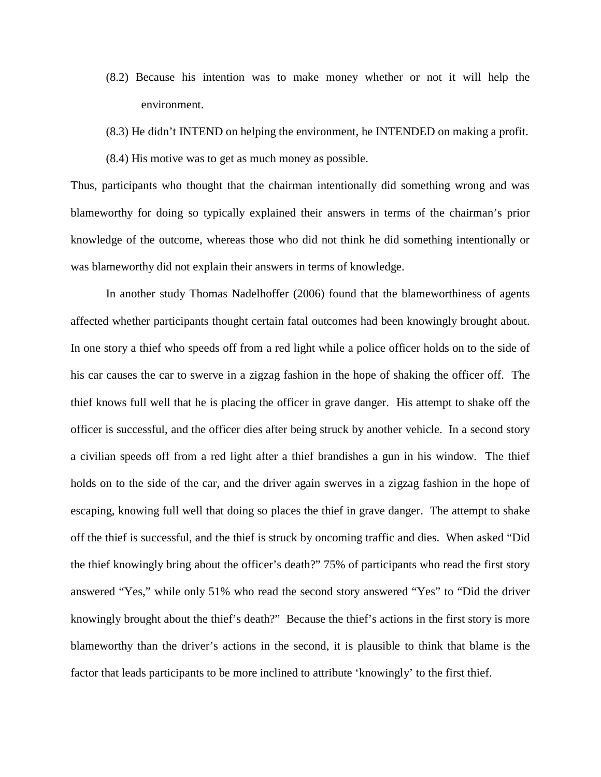- (8.2) Because his intention was to make money whether or not it will help the environment.
- (8.3) He didn't INTEND on helping the environment, he INTENDED on making a profit.
- (8.4) His motive was to get as much money as possible.

Thus, participants who thought that the chairman intentionally did something wrong and was blameworthy for doing so typically explained their answers in terms of the chairman's prior knowledge of the outcome, whereas those who did not think he did something intentionally or was blameworthy did not explain their answers in terms of knowledge.

In another study Thomas Nadelhoffer (2006) found that the blameworthiness of agents affected whether participants thought certain fatal outcomes had been knowingly brought about. In one story a thief who speeds off from a red light while a police officer holds on to the side of his car causes the car to swerve in a zigzag fashion in the hope of shaking the officer off. The thief knows full well that he is placing the officer in grave danger. His attempt to shake off the officer is successful, and the officer dies after being struck by another vehicle. In a second story a civilian speeds off from a red light after a thief brandishes a gun in his window. The thief holds on to the side of the car, and the driver again swerves in a zigzag fashion in the hope of escaping, knowing full well that doing so places the thief in grave danger. The attempt to shake off the thief is successful, and the thief is struck by oncoming traffic and dies. When asked "Did the thief knowingly bring about the officer's death?" 75% of participants who read the first story answered "Yes," while only 51% who read the second story answered "Yes" to "Did the driver knowingly brought about the thief's death?" Because the thief's actions in the first story is more blameworthy than the driver's actions in the second, it is plausible to think that blame is the factor that leads participants to be more inclined to attribute 'knowingly' to the first thief.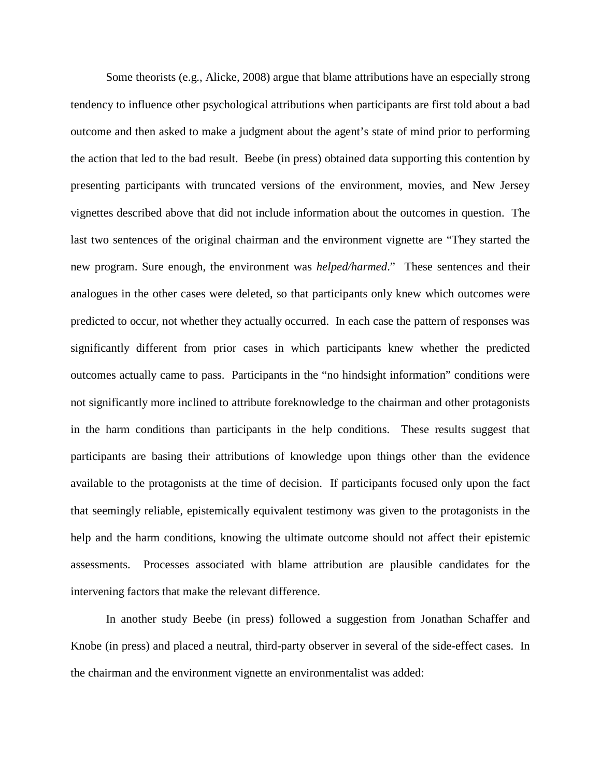Some theorists (e.g., Alicke, 2008) argue that blame attributions have an especially strong tendency to influence other psychological attributions when participants are first told about a bad outcome and then asked to make a judgment about the agent's state of mind prior to performing the action that led to the bad result. Beebe (in press) obtained data supporting this contention by presenting participants with truncated versions of the environment, movies, and New Jersey vignettes described above that did not include information about the outcomes in question. The last two sentences of the original chairman and the environment vignette are "They started the new program. Sure enough, the environment was *helped/harmed*." These sentences and their analogues in the other cases were deleted, so that participants only knew which outcomes were predicted to occur, not whether they actually occurred. In each case the pattern of responses was significantly different from prior cases in which participants knew whether the predicted outcomes actually came to pass. Participants in the "no hindsight information" conditions were not significantly more inclined to attribute foreknowledge to the chairman and other protagonists in the harm conditions than participants in the help conditions. These results suggest that participants are basing their attributions of knowledge upon things other than the evidence available to the protagonists at the time of decision. If participants focused only upon the fact that seemingly reliable, epistemically equivalent testimony was given to the protagonists in the help and the harm conditions, knowing the ultimate outcome should not affect their epistemic assessments. Processes associated with blame attribution are plausible candidates for the intervening factors that make the relevant difference.

In another study Beebe (in press) followed a suggestion from Jonathan Schaffer and Knobe (in press) and placed a neutral, third-party observer in several of the side-effect cases. In the chairman and the environment vignette an environmentalist was added: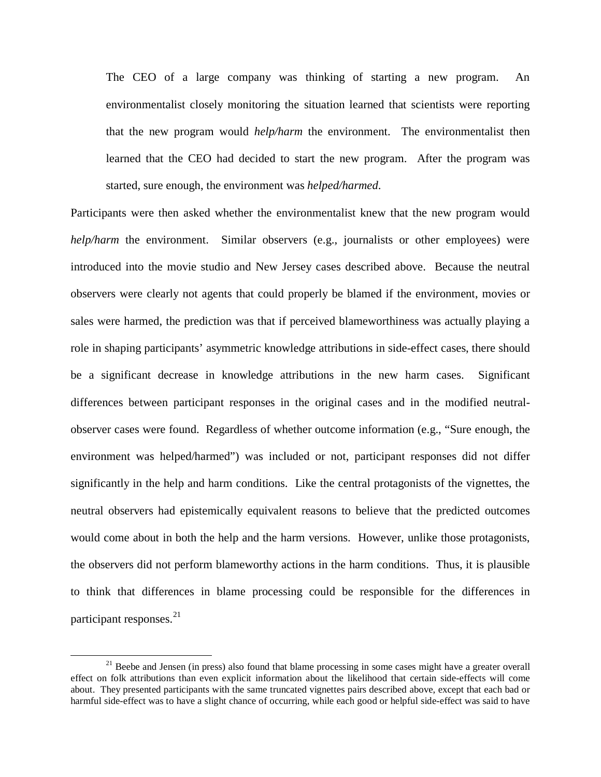The CEO of a large company was thinking of starting a new program. An environmentalist closely monitoring the situation learned that scientists were reporting that the new program would *help/harm* the environment. The environmentalist then learned that the CEO had decided to start the new program. After the program was started, sure enough, the environment was *helped/harmed*.

Participants were then asked whether the environmentalist knew that the new program would *help/harm* the environment. Similar observers (e.g., journalists or other employees) were introduced into the movie studio and New Jersey cases described above. Because the neutral observers were clearly not agents that could properly be blamed if the environment, movies or sales were harmed, the prediction was that if perceived blameworthiness was actually playing a role in shaping participants' asymmetric knowledge attributions in side-effect cases, there should be a significant decrease in knowledge attributions in the new harm cases. Significant differences between participant responses in the original cases and in the modified neutralobserver cases were found. Regardless of whether outcome information (e.g., "Sure enough, the environment was helped/harmed") was included or not, participant responses did not differ significantly in the help and harm conditions. Like the central protagonists of the vignettes, the neutral observers had epistemically equivalent reasons to believe that the predicted outcomes would come about in both the help and the harm versions. However, unlike those protagonists, the observers did not perform blameworthy actions in the harm conditions. Thus, it is plausible to think that differences in blame processing could be responsible for the differences in participant responses. $^{21}$  $^{21}$  $^{21}$ 

<span id="page-25-0"></span> $21$  Beebe and Jensen (in press) also found that blame processing in some cases might have a greater overall effect on folk attributions than even explicit information about the likelihood that certain side-effects will come about. They presented participants with the same truncated vignettes pairs described above, except that each bad or harmful side-effect was to have a slight chance of occurring, while each good or helpful side-effect was said to have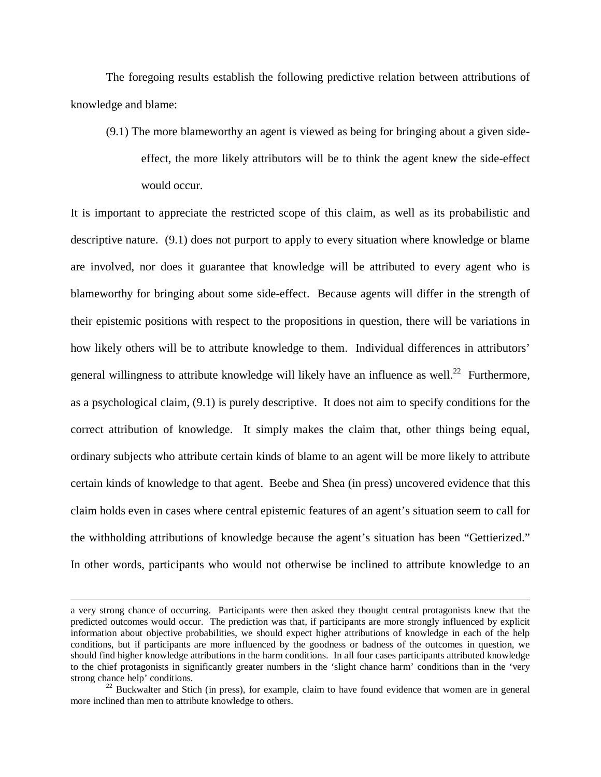The foregoing results establish the following predictive relation between attributions of knowledge and blame:

(9.1) The more blameworthy an agent is viewed as being for bringing about a given sideeffect, the more likely attributors will be to think the agent knew the side-effect would occur.

It is important to appreciate the restricted scope of this claim, as well as its probabilistic and descriptive nature. (9.1) does not purport to apply to every situation where knowledge or blame are involved, nor does it guarantee that knowledge will be attributed to every agent who is blameworthy for bringing about some side-effect. Because agents will differ in the strength of their epistemic positions with respect to the propositions in question, there will be variations in how likely others will be to attribute knowledge to them. Individual differences in attributors' general willingness to attribute knowledge will likely have an influence as well.<sup>[22](#page-26-0)</sup> Furthermore, as a psychological claim, (9.1) is purely descriptive. It does not aim to specify conditions for the correct attribution of knowledge. It simply makes the claim that, other things being equal, ordinary subjects who attribute certain kinds of blame to an agent will be more likely to attribute certain kinds of knowledge to that agent. Beebe and Shea (in press) uncovered evidence that this claim holds even in cases where central epistemic features of an agent's situation seem to call for the withholding attributions of knowledge because the agent's situation has been "Gettierized." In other words, participants who would not otherwise be inclined to attribute knowledge to an

a very strong chance of occurring. Participants were then asked they thought central protagonists knew that the predicted outcomes would occur. The prediction was that, if participants are more strongly influenced by explicit information about objective probabilities, we should expect higher attributions of knowledge in each of the help conditions, but if participants are more influenced by the goodness or badness of the outcomes in question, we should find higher knowledge attributions in the harm conditions. In all four cases participants attributed knowledge to the chief protagonists in significantly greater numbers in the 'slight chance harm' conditions than in the 'very strong chance help' conditions.

<span id="page-26-0"></span> $22$  Buckwalter and Stich (in press), for example, claim to have found evidence that women are in general more inclined than men to attribute knowledge to others.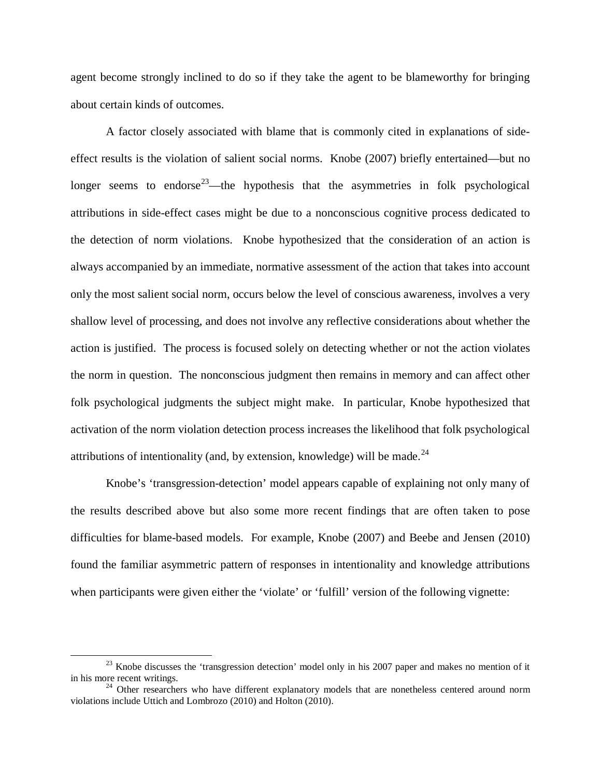agent become strongly inclined to do so if they take the agent to be blameworthy for bringing about certain kinds of outcomes.

A factor closely associated with blame that is commonly cited in explanations of sideeffect results is the violation of salient social norms. Knobe (2007) briefly entertained—but no longer seems to endorse<sup>[23](#page-27-0)</sup>—the hypothesis that the asymmetries in folk psychological attributions in side-effect cases might be due to a nonconscious cognitive process dedicated to the detection of norm violations. Knobe hypothesized that the consideration of an action is always accompanied by an immediate, normative assessment of the action that takes into account only the most salient social norm, occurs below the level of conscious awareness, involves a very shallow level of processing, and does not involve any reflective considerations about whether the action is justified. The process is focused solely on detecting whether or not the action violates the norm in question. The nonconscious judgment then remains in memory and can affect other folk psychological judgments the subject might make. In particular, Knobe hypothesized that activation of the norm violation detection process increases the likelihood that folk psychological attributions of intentionality (and, by extension, knowledge) will be made.<sup>[24](#page-27-1)</sup>

Knobe's 'transgression-detection' model appears capable of explaining not only many of the results described above but also some more recent findings that are often taken to pose difficulties for blame-based models. For example, Knobe (2007) and Beebe and Jensen (2010) found the familiar asymmetric pattern of responses in intentionality and knowledge attributions when participants were given either the 'violate' or 'fulfill' version of the following vignette:

<span id="page-27-0"></span><sup>&</sup>lt;sup>23</sup> Knobe discusses the 'transgression detection' model only in his 2007 paper and makes no mention of it in his more recent writings.

<span id="page-27-1"></span> $\frac{24}{1}$  Other researchers who have different explanatory models that are nonetheless centered around norm violations include Uttich and Lombrozo (2010) and Holton (2010).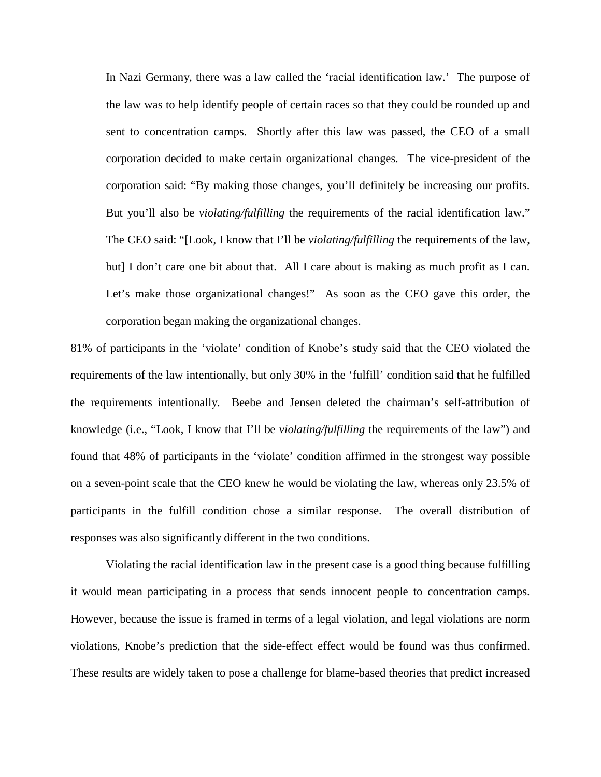In Nazi Germany, there was a law called the 'racial identification law.' The purpose of the law was to help identify people of certain races so that they could be rounded up and sent to concentration camps. Shortly after this law was passed, the CEO of a small corporation decided to make certain organizational changes. The vice-president of the corporation said: "By making those changes, you'll definitely be increasing our profits. But you'll also be *violating/fulfilling* the requirements of the racial identification law." The CEO said: "[Look, I know that I'll be *violating/fulfilling* the requirements of the law, but] I don't care one bit about that. All I care about is making as much profit as I can. Let's make those organizational changes!" As soon as the CEO gave this order, the corporation began making the organizational changes.

81% of participants in the 'violate' condition of Knobe's study said that the CEO violated the requirements of the law intentionally, but only 30% in the 'fulfill' condition said that he fulfilled the requirements intentionally. Beebe and Jensen deleted the chairman's self-attribution of knowledge (i.e., "Look, I know that I'll be *violating/fulfilling* the requirements of the law") and found that 48% of participants in the 'violate' condition affirmed in the strongest way possible on a seven-point scale that the CEO knew he would be violating the law, whereas only 23.5% of participants in the fulfill condition chose a similar response. The overall distribution of responses was also significantly different in the two conditions.

Violating the racial identification law in the present case is a good thing because fulfilling it would mean participating in a process that sends innocent people to concentration camps. However, because the issue is framed in terms of a legal violation, and legal violations are norm violations, Knobe's prediction that the side-effect effect would be found was thus confirmed. These results are widely taken to pose a challenge for blame-based theories that predict increased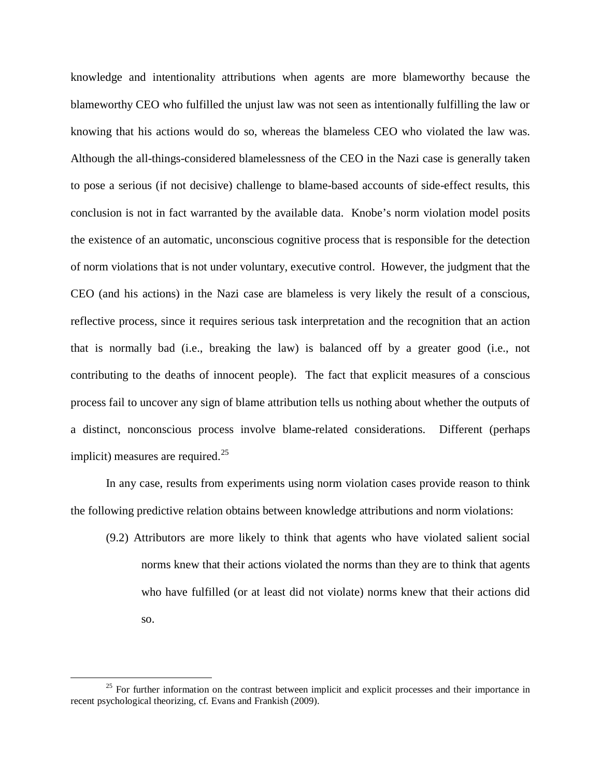knowledge and intentionality attributions when agents are more blameworthy because the blameworthy CEO who fulfilled the unjust law was not seen as intentionally fulfilling the law or knowing that his actions would do so, whereas the blameless CEO who violated the law was. Although the all-things-considered blamelessness of the CEO in the Nazi case is generally taken to pose a serious (if not decisive) challenge to blame-based accounts of side-effect results, this conclusion is not in fact warranted by the available data. Knobe's norm violation model posits the existence of an automatic, unconscious cognitive process that is responsible for the detection of norm violations that is not under voluntary, executive control. However, the judgment that the CEO (and his actions) in the Nazi case are blameless is very likely the result of a conscious, reflective process, since it requires serious task interpretation and the recognition that an action that is normally bad (i.e., breaking the law) is balanced off by a greater good (i.e., not contributing to the deaths of innocent people). The fact that explicit measures of a conscious process fail to uncover any sign of blame attribution tells us nothing about whether the outputs of a distinct, nonconscious process involve blame-related considerations. Different (perhaps implicit) measures are required. $^{25}$  $^{25}$  $^{25}$ 

In any case, results from experiments using norm violation cases provide reason to think the following predictive relation obtains between knowledge attributions and norm violations:

(9.2) Attributors are more likely to think that agents who have violated salient social norms knew that their actions violated the norms than they are to think that agents who have fulfilled (or at least did not violate) norms knew that their actions did so.

<span id="page-29-0"></span> $25$  For further information on the contrast between implicit and explicit processes and their importance in recent psychological theorizing, cf. Evans and Frankish (2009).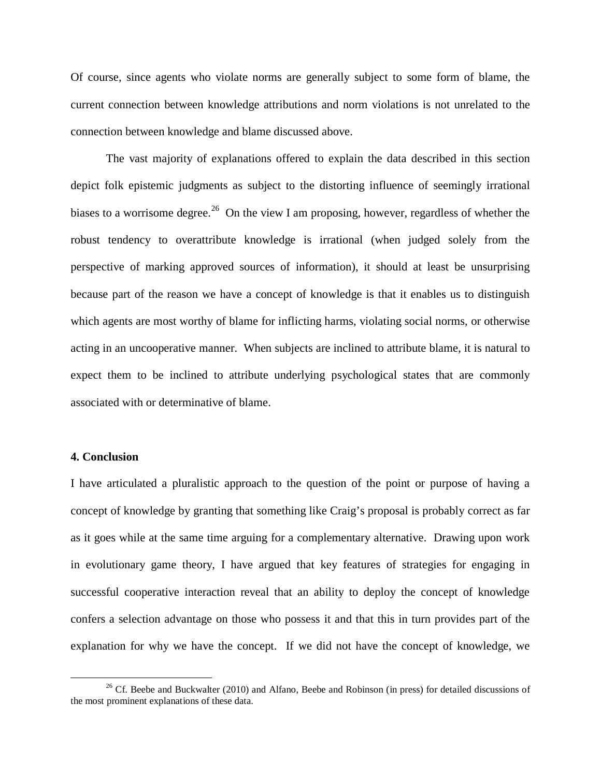Of course, since agents who violate norms are generally subject to some form of blame, the current connection between knowledge attributions and norm violations is not unrelated to the connection between knowledge and blame discussed above.

The vast majority of explanations offered to explain the data described in this section depict folk epistemic judgments as subject to the distorting influence of seemingly irrational biases to a worrisome degree.<sup>[26](#page-30-0)</sup> On the view I am proposing, however, regardless of whether the robust tendency to overattribute knowledge is irrational (when judged solely from the perspective of marking approved sources of information), it should at least be unsurprising because part of the reason we have a concept of knowledge is that it enables us to distinguish which agents are most worthy of blame for inflicting harms, violating social norms, or otherwise acting in an uncooperative manner. When subjects are inclined to attribute blame, it is natural to expect them to be inclined to attribute underlying psychological states that are commonly associated with or determinative of blame.

### **4. Conclusion**

I have articulated a pluralistic approach to the question of the point or purpose of having a concept of knowledge by granting that something like Craig's proposal is probably correct as far as it goes while at the same time arguing for a complementary alternative. Drawing upon work in evolutionary game theory, I have argued that key features of strategies for engaging in successful cooperative interaction reveal that an ability to deploy the concept of knowledge confers a selection advantage on those who possess it and that this in turn provides part of the explanation for why we have the concept. If we did not have the concept of knowledge, we

<span id="page-30-0"></span> $26$  Cf. Beebe and Buckwalter (2010) and Alfano, Beebe and Robinson (in press) for detailed discussions of the most prominent explanations of these data.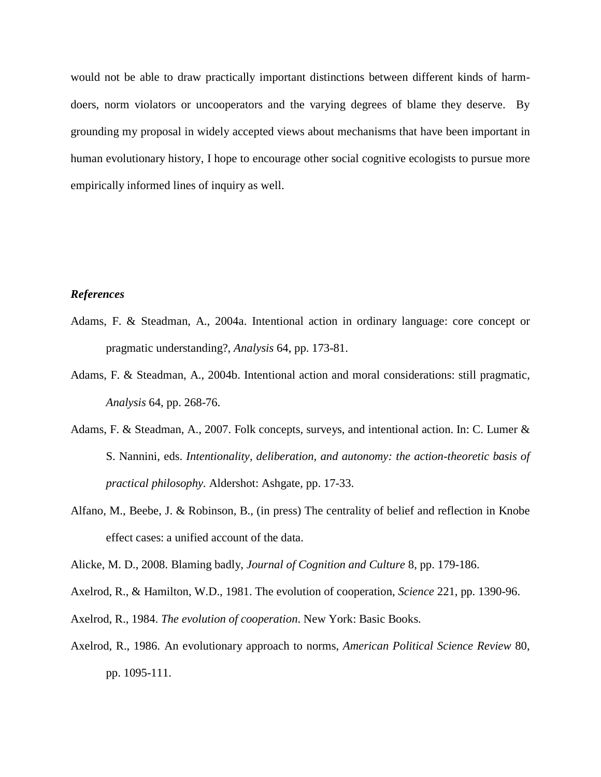would not be able to draw practically important distinctions between different kinds of harmdoers, norm violators or uncooperators and the varying degrees of blame they deserve. By grounding my proposal in widely accepted views about mechanisms that have been important in human evolutionary history, I hope to encourage other social cognitive ecologists to pursue more empirically informed lines of inquiry as well.

# *References*

- Adams, F. & Steadman, A., 2004a. Intentional action in ordinary language: core concept or pragmatic understanding?, *Analysis* 64, pp. 173-81.
- Adams, F. & Steadman, A., 2004b. Intentional action and moral considerations: still pragmatic, *Analysis* 64, pp. 268-76.
- Adams, F. & Steadman, A., 2007. Folk concepts, surveys, and intentional action. In: C. Lumer & S. Nannini, eds. *Intentionality, deliberation, and autonomy: the action-theoretic basis of practical philosophy.* Aldershot: Ashgate, pp. 17-33.
- Alfano, M., Beebe, J. & Robinson, B., (in press) The centrality of belief and reflection in Knobe effect cases: a unified account of the data.
- Alicke, M. D., 2008. Blaming badly, *Journal of Cognition and Culture* 8, pp. 179-186.
- Axelrod, R., & Hamilton, W.D., 1981. The evolution of cooperation, *Science* 221, pp. 1390-96.
- Axelrod, R., 1984. *The evolution of cooperation*. New York: Basic Books.
- Axelrod, R., 1986. An evolutionary approach to norms, *American Political Science Review* 80, pp. 1095-111.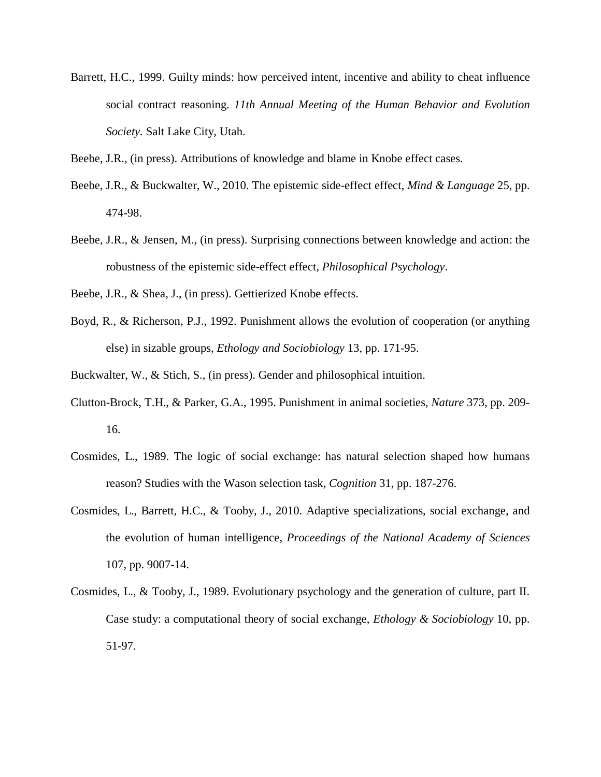Barrett, H.C., 1999. Guilty minds: how perceived intent, incentive and ability to cheat influence social contract reasoning. *11th Annual Meeting of the Human Behavior and Evolution Society.* Salt Lake City, Utah.

Beebe, J.R., (in press). Attributions of knowledge and blame in Knobe effect cases.

- Beebe, J.R., & Buckwalter, W., 2010. The epistemic side-effect effect, *Mind & Language* 25, pp. 474-98.
- Beebe, J.R., & Jensen, M., (in press). Surprising connections between knowledge and action: the robustness of the epistemic side-effect effect, *Philosophical Psychology*.
- Beebe, J.R., & Shea, J., (in press). Gettierized Knobe effects.
- Boyd, R., & Richerson, P.J., 1992. Punishment allows the evolution of cooperation (or anything else) in sizable groups, *Ethology and Sociobiology* 13, pp. 171-95.
- Buckwalter, W., & Stich, S., (in press). Gender and philosophical intuition.
- Clutton-Brock, T.H., & Parker, G.A., 1995. Punishment in animal societies, *Nature* 373, pp. 209- 16.
- Cosmides, L., 1989. The logic of social exchange: has natural selection shaped how humans reason? Studies with the Wason selection task, *Cognition* 31, pp. 187-276.
- Cosmides, L., Barrett, H.C., & Tooby, J., 2010. Adaptive specializations, social exchange, and the evolution of human intelligence, *Proceedings of the National Academy of Sciences* 107, pp. 9007-14.
- Cosmides, L., & Tooby, J., 1989. Evolutionary psychology and the generation of culture, part II. Case study: a computational theory of social exchange, *Ethology & Sociobiology* 10, pp. 51-97.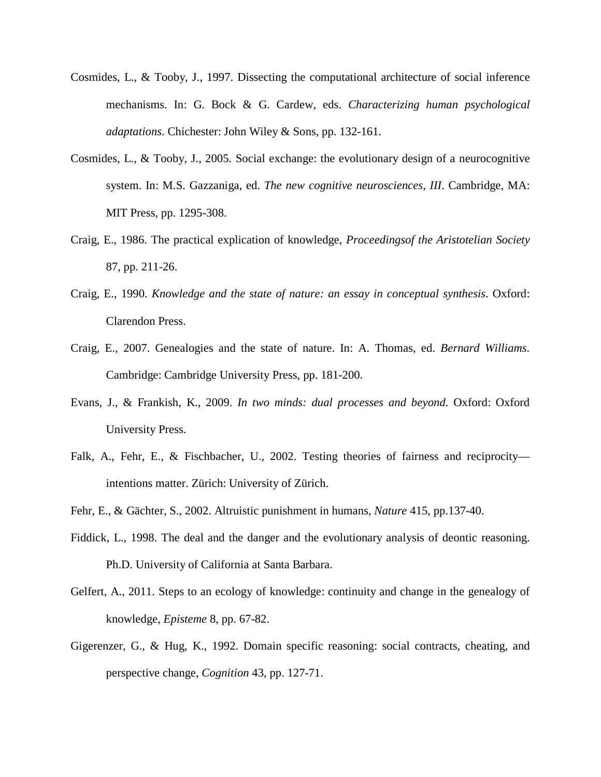- Cosmides, L., & Tooby, J., 1997. Dissecting the computational architecture of social inference mechanisms. In: G. Bock & G. Cardew, eds. *Characterizing human psychological adaptations*. Chichester: John Wiley & Sons, pp. 132-161.
- Cosmides, L., & Tooby, J., 2005. Social exchange: the evolutionary design of a neurocognitive system. In: M.S. Gazzaniga, ed. *The new cognitive neurosciences, III*. Cambridge, MA: MIT Press, pp. 1295-308.
- Craig, E., 1986. The practical explication of knowledge, *Proceedingsof the Aristotelian Society*  87, pp. 211-26.
- Craig, E., 1990. *Knowledge and the state of nature: an essay in conceptual synthesis*. Oxford: Clarendon Press.
- Craig, E., 2007. Genealogies and the state of nature. In: A. Thomas, ed. *Bernard Williams*. Cambridge: Cambridge University Press, pp. 181-200.
- Evans, J., & Frankish, K., 2009. *In two minds: dual processes and beyond*. Oxford: Oxford University Press.
- Falk, A., Fehr, E., & Fischbacher, U., 2002. Testing theories of fairness and reciprocity intentions matter. Zürich: University of Zürich.
- Fehr, E., & Gächter, S., 2002. Altruistic punishment in humans, *Nature* 415, pp.137-40.
- Fiddick, L., 1998. The deal and the danger and the evolutionary analysis of deontic reasoning. Ph.D. University of California at Santa Barbara.
- Gelfert, A., 2011. Steps to an ecology of knowledge: continuity and change in the genealogy of knowledge, *Episteme* 8, pp. 67-82.
- Gigerenzer, G., & Hug, K., 1992. Domain specific reasoning: social contracts, cheating, and perspective change, *Cognition* 43, pp. 127-71.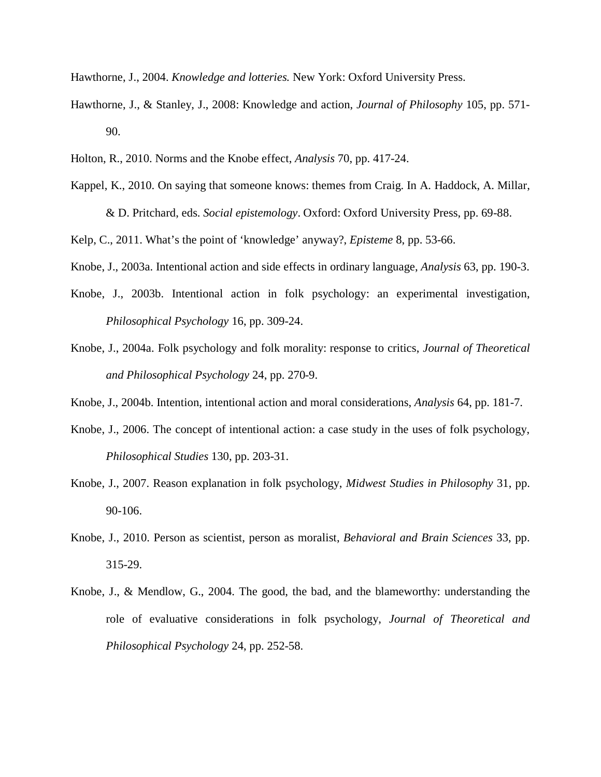Hawthorne, J., 2004. *Knowledge and lotteries.* New York: Oxford University Press.

- Hawthorne, J., & Stanley, J., 2008: Knowledge and action, *Journal of Philosophy* 105, pp. 571- 90.
- Holton, R., 2010. Norms and the Knobe effect, *Analysis* 70, pp. 417-24.
- Kappel, K., 2010. On saying that someone knows: themes from Craig. In A. Haddock, A. Millar, & D. Pritchard, eds. *Social epistemology*. Oxford: Oxford University Press, pp. 69-88.

Kelp, C., 2011. What's the point of 'knowledge' anyway?, *Episteme* 8, pp. 53-66.

Knobe, J., 2003a. Intentional action and side effects in ordinary language, *Analysis* 63, pp. 190-3.

- Knobe, J., 2003b. Intentional action in folk psychology: an experimental investigation, *Philosophical Psychology* 16, pp. 309-24.
- Knobe, J., 2004a. Folk psychology and folk morality: response to critics, *Journal of Theoretical and Philosophical Psychology* 24, pp. 270-9.
- Knobe, J., 2004b. Intention, intentional action and moral considerations, *Analysis* 64, pp. 181-7.
- Knobe, J., 2006. The concept of intentional action: a case study in the uses of folk psychology, *Philosophical Studies* 130, pp. 203-31.
- Knobe, J., 2007. Reason explanation in folk psychology, *Midwest Studies in Philosophy* 31, pp. 90-106.
- Knobe, J., 2010. Person as scientist, person as moralist, *Behavioral and Brain Sciences* 33, pp. 315-29.
- Knobe, J., & Mendlow, G., 2004. The good, the bad, and the blameworthy: understanding the role of evaluative considerations in folk psychology, *Journal of Theoretical and Philosophical Psychology* 24, pp. 252-58.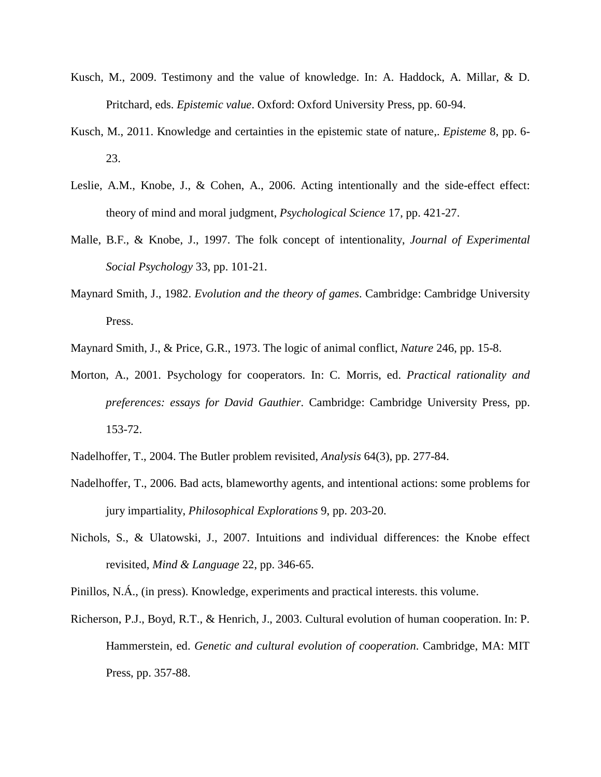- Kusch, M., 2009. Testimony and the value of knowledge. In: A. Haddock, A. Millar, & D. Pritchard, eds. *Epistemic value*. Oxford: Oxford University Press, pp. 60-94.
- Kusch, M., 2011. Knowledge and certainties in the epistemic state of nature,. *Episteme* 8, pp. 6- 23.
- Leslie, A.M., Knobe, J., & Cohen, A., 2006. Acting intentionally and the side-effect effect: theory of mind and moral judgment, *Psychological Science* 17, pp. 421-27.
- Malle, B.F., & Knobe, J., 1997. The folk concept of intentionality, *Journal of Experimental Social Psychology* 33, pp. 101-21.
- Maynard Smith, J., 1982. *Evolution and the theory of games*. Cambridge: Cambridge University Press.
- Maynard Smith, J., & Price, G.R., 1973. The logic of animal conflict, *Nature* 246, pp. 15-8.
- Morton, A., 2001. Psychology for cooperators. In: C. Morris, ed. *Practical rationality and preferences: essays for David Gauthier*. Cambridge: Cambridge University Press, pp. 153-72.
- Nadelhoffer, T., 2004. The Butler problem revisited, *Analysis* 64(3), pp. 277-84.
- Nadelhoffer, T., 2006. Bad acts, blameworthy agents, and intentional actions: some problems for jury impartiality, *Philosophical Explorations* 9, pp. 203-20.
- Nichols, S., & Ulatowski, J., 2007. Intuitions and individual differences: the Knobe effect revisited, *Mind & Language* 22, pp. 346-65.
- Pinillos, N.Á., (in press). Knowledge, experiments and practical interests. this volume.
- Richerson, P.J., Boyd, R.T., & Henrich, J., 2003. Cultural evolution of human cooperation. In: P. Hammerstein, ed. *Genetic and cultural evolution of cooperation*. Cambridge, MA: MIT Press, pp. 357-88.